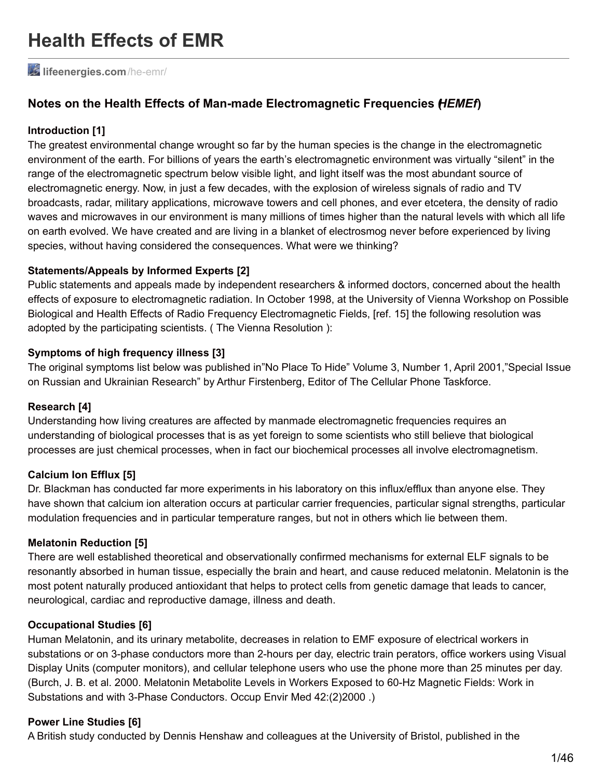# **Health Effects of EMR**

**[lifeenergies.com](http://lifeenergies.com/he-emr/)**/he-emr/

# **Notes on the Health Effects of Man-made Electromagnetic Frequencies (***HEMEf***)**

### **Introduction [1]**

The greatest environmental change wrought so far by the human species is the change in the electromagnetic environment of the earth. For billions of years the earth's electromagnetic environment was virtually "silent" in the range of the electromagnetic spectrum below visible light, and light itself was the most abundant source of electromagnetic energy. Now, in just a few decades, with the explosion of wireless signals of radio and TV broadcasts, radar, military applications, microwave towers and cell phones, and ever etcetera, the density of radio waves and microwaves in our environment is many millions of times higher than the natural levels with which all life on earth evolved. We have created and are living in a blanket of electrosmog never before experienced by living species, without having considered the consequences. What were we thinking?

### **Statements/Appeals by Informed Experts [2]**

Public statements and appeals made by independent researchers & informed doctors, concerned about the health effects of exposure to electromagnetic radiation. In October 1998, at the University of Vienna Workshop on Possible Biological and Health Effects of Radio Frequency Electromagnetic Fields, [ref. 15] the following resolution was adopted by the participating scientists. ( The Vienna Resolution ):

### **Symptoms of high frequency illness [3]**

The original symptoms list below was published in"No Place To Hide" Volume 3, Number 1, April 2001,"Special Issue on Russian and Ukrainian Research" by Arthur Firstenberg, Editor of The Cellular Phone Taskforce.

### **Research [4]**

Understanding how living creatures are affected by manmade electromagnetic frequencies requires an understanding of biological processes that is as yet foreign to some scientists who still believe that biological processes are just chemical processes, when in fact our biochemical processes all involve electromagnetism.

### **Calcium Ion Efflux [5]**

Dr. Blackman has conducted far more experiments in his laboratory on this influx/efflux than anyone else. They have shown that calcium ion alteration occurs at particular carrier frequencies, particular signal strengths, particular modulation frequencies and in particular temperature ranges, but not in others which lie between them.

### **Melatonin Reduction [5]**

There are well established theoretical and observationally confirmed mechanisms for external ELF signals to be resonantly absorbed in human tissue, especially the brain and heart, and cause reduced melatonin. Melatonin is the most potent naturally produced antioxidant that helps to protect cells from genetic damage that leads to cancer, neurological, cardiac and reproductive damage, illness and death.

### **Occupational Studies [6]**

Human Melatonin, and its urinary metabolite, decreases in relation to EMF exposure of electrical workers in substations or on 3-phase conductors more than 2-hours per day, electric train perators, office workers using Visual Display Units (computer monitors), and cellular telephone users who use the phone more than 25 minutes per day. (Burch, J. B. et al. 2000. Melatonin Metabolite Levels in Workers Exposed to 60-Hz Magnetic Fields: Work in Substations and with 3-Phase Conductors. Occup Envir Med 42:(2)2000 .)

### **Power Line Studies [6]**

A British study conducted by Dennis Henshaw and colleagues at the University of Bristol, published in the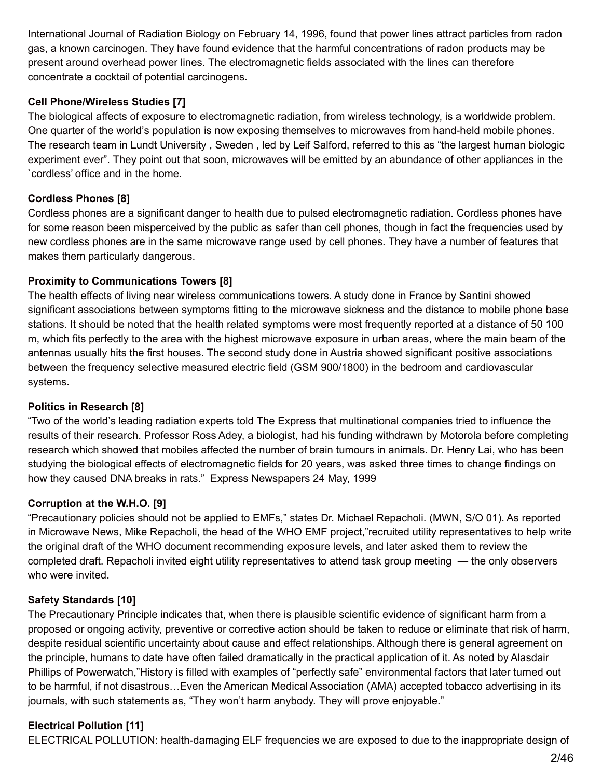International Journal of Radiation Biology on February 14, 1996, found that power lines attract particles from radon gas, a known carcinogen. They have found evidence that the harmful concentrations of radon products may be present around overhead power lines. The electromagnetic fields associated with the lines can therefore concentrate a cocktail of potential carcinogens.

### **Cell Phone/Wireless Studies [7]**

The biological affects of exposure to electromagnetic radiation, from wireless technology, is a worldwide problem. One quarter of the world's population is now exposing themselves to microwaves from hand-held mobile phones. The research team in Lundt University , Sweden , led by Leif Salford, referred to this as "the largest human biologic experiment ever". They point out that soon, microwaves will be emitted by an abundance of other appliances in the `cordless' office and in the home.

### **Cordless Phones [8]**

Cordless phones are a significant danger to health due to pulsed electromagnetic radiation. Cordless phones have for some reason been misperceived by the public as safer than cell phones, though in fact the frequencies used by new cordless phones are in the same microwave range used by cell phones. They have a number of features that makes them particularly dangerous.

### **Proximity to Communications Towers [8]**

The health effects of living near wireless communications towers. A study done in France by Santini showed significant associations between symptoms fitting to the microwave sickness and the distance to mobile phone base stations. It should be noted that the health related symptoms were most frequently reported at a distance of 50 100 m, which fits perfectly to the area with the highest microwave exposure in urban areas, where the main beam of the antennas usually hits the first houses. The second study done in Austria showed significant positive associations between the frequency selective measured electric field (GSM 900/1800) in the bedroom and cardiovascular systems.

### **Politics in Research [8]**

"Two of the world's leading radiation experts told The Express that multinational companies tried to influence the results of their research. Professor Ross Adey, a biologist, had his funding withdrawn by Motorola before completing research which showed that mobiles affected the number of brain tumours in animals. Dr. Henry Lai, who has been studying the biological effects of electromagnetic fields for 20 years, was asked three times to change findings on how they caused DNA breaks in rats." Express Newspapers 24 May, 1999

# **Corruption at the W.H.O. [9]**

"Precautionary policies should not be applied to EMFs," states Dr. Michael Repacholi. (MWN, S/O 01). As reported in Microwave News, Mike Repacholi, the head of the WHO EMF project,"recruited utility representatives to help write the original draft of the WHO document recommending exposure levels, and later asked them to review the completed draft. Repacholi invited eight utility representatives to attend task group meeting — the only observers who were invited.

### **Safety Standards [10]**

The Precautionary Principle indicates that, when there is plausible scientific evidence of significant harm from a proposed or ongoing activity, preventive or corrective action should be taken to reduce or eliminate that risk of harm, despite residual scientific uncertainty about cause and effect relationships. Although there is general agreement on the principle, humans to date have often failed dramatically in the practical application of it. As noted by Alasdair Phillips of Powerwatch,"History is filled with examples of "perfectly safe" environmental factors that later turned out to be harmful, if not disastrous…Even the American Medical Association (AMA) accepted tobacco advertising in its journals, with such statements as, "They won't harm anybody. They will prove enjoyable."

### **Electrical Pollution [11]**

ELECTRICAL POLLUTION: health-damaging ELF frequencies we are exposed to due to the inappropriate design of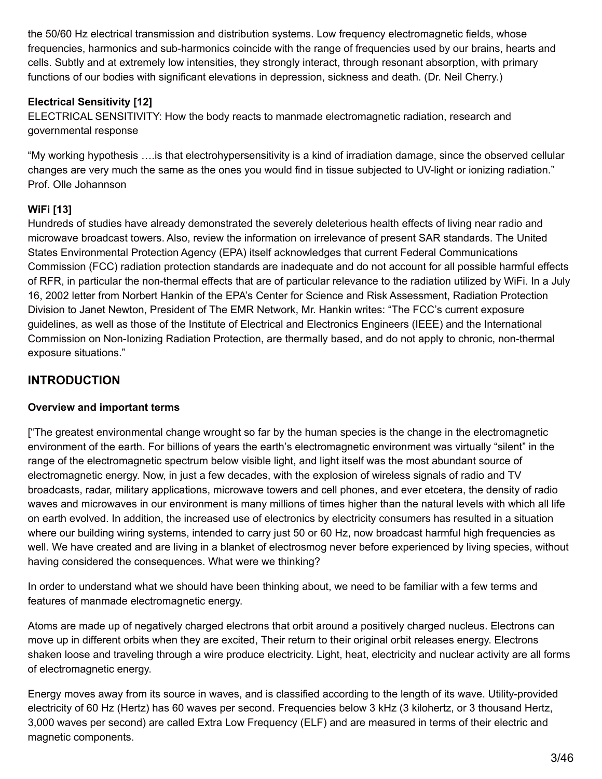the 50/60 Hz electrical transmission and distribution systems. Low frequency electromagnetic fields, whose frequencies, harmonics and sub-harmonics coincide with the range of frequencies used by our brains, hearts and cells. Subtly and at extremely low intensities, they strongly interact, through resonant absorption, with primary functions of our bodies with significant elevations in depression, sickness and death. (Dr. Neil Cherry.)

## **Electrical Sensitivity [12]**

ELECTRICAL SENSITIVITY: How the body reacts to manmade electromagnetic radiation, research and governmental response

"My working hypothesis ….is that electrohypersensitivity is a kind of irradiation damage, since the observed cellular changes are very much the same as the ones you would find in tissue subjected to UV-light or ionizing radiation." Prof. Olle Johannson

### **WiFi [13]**

Hundreds of studies have already demonstrated the severely deleterious health effects of living near radio and microwave broadcast towers. Also, review the information on irrelevance of present SAR standards. The United States Environmental Protection Agency (EPA) itself acknowledges that current Federal Communications Commission (FCC) radiation protection standards are inadequate and do not account for all possible harmful effects of RFR, in particular the non-thermal effects that are of particular relevance to the radiation utilized by WiFi. In a July 16, 2002 letter from Norbert Hankin of the EPA's Center for Science and Risk Assessment, Radiation Protection Division to Janet Newton, President of The EMR Network, Mr. Hankin writes: "The FCC's current exposure guidelines, as well as those of the Institute of Electrical and Electronics Engineers (IEEE) and the International Commission on Non-Ionizing Radiation Protection, are thermally based, and do not apply to chronic, non-thermal exposure situations."

# **INTRODUCTION**

### **Overview and important terms**

["The greatest environmental change wrought so far by the human species is the change in the electromagnetic environment of the earth. For billions of years the earth's electromagnetic environment was virtually "silent" in the range of the electromagnetic spectrum below visible light, and light itself was the most abundant source of electromagnetic energy. Now, in just a few decades, with the explosion of wireless signals of radio and TV broadcasts, radar, military applications, microwave towers and cell phones, and ever etcetera, the density of radio waves and microwaves in our environment is many millions of times higher than the natural levels with which all life on earth evolved. In addition, the increased use of electronics by electricity consumers has resulted in a situation where our building wiring systems, intended to carry just 50 or 60 Hz, now broadcast harmful high frequencies as well. We have created and are living in a blanket of electrosmog never before experienced by living species, without having considered the consequences. What were we thinking?

In order to understand what we should have been thinking about, we need to be familiar with a few terms and features of manmade electromagnetic energy.

Atoms are made up of negatively charged electrons that orbit around a positively charged nucleus. Electrons can move up in different orbits when they are excited, Their return to their original orbit releases energy. Electrons shaken loose and traveling through a wire produce electricity. Light, heat, electricity and nuclear activity are all forms of electromagnetic energy.

Energy moves away from its source in waves, and is classified according to the length of its wave. Utility-provided electricity of 60 Hz (Hertz) has 60 waves per second. Frequencies below 3 kHz (3 kilohertz, or 3 thousand Hertz, 3,000 waves per second) are called Extra Low Frequency (ELF) and are measured in terms of their electric and magnetic components.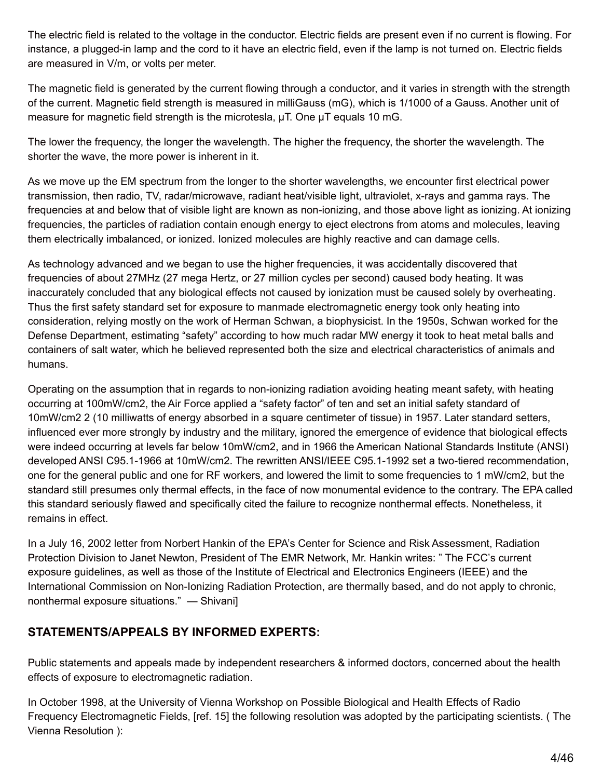The electric field is related to the voltage in the conductor. Electric fields are present even if no current is flowing. For instance, a plugged-in lamp and the cord to it have an electric field, even if the lamp is not turned on. Electric fields are measured in V/m, or volts per meter.

The magnetic field is generated by the current flowing through a conductor, and it varies in strength with the strength of the current. Magnetic field strength is measured in milliGauss (mG), which is 1/1000 of a Gauss. Another unit of measure for magnetic field strength is the microtesla, µT. One µT equals 10 mG.

The lower the frequency, the longer the wavelength. The higher the frequency, the shorter the wavelength. The shorter the wave, the more power is inherent in it.

As we move up the EM spectrum from the longer to the shorter wavelengths, we encounter first electrical power transmission, then radio, TV, radar/microwave, radiant heat/visible light, ultraviolet, x-rays and gamma rays. The frequencies at and below that of visible light are known as non-ionizing, and those above light as ionizing. At ionizing frequencies, the particles of radiation contain enough energy to eject electrons from atoms and molecules, leaving them electrically imbalanced, or ionized. Ionized molecules are highly reactive and can damage cells.

As technology advanced and we began to use the higher frequencies, it was accidentally discovered that frequencies of about 27MHz (27 mega Hertz, or 27 million cycles per second) caused body heating. It was inaccurately concluded that any biological effects not caused by ionization must be caused solely by overheating. Thus the first safety standard set for exposure to manmade electromagnetic energy took only heating into consideration, relying mostly on the work of Herman Schwan, a biophysicist. In the 1950s, Schwan worked for the Defense Department, estimating "safety" according to how much radar MW energy it took to heat metal balls and containers of salt water, which he believed represented both the size and electrical characteristics of animals and humans.

Operating on the assumption that in regards to non-ionizing radiation avoiding heating meant safety, with heating occurring at 100mW/cm2, the Air Force applied a "safety factor" of ten and set an initial safety standard of 10mW/cm2 2 (10 milliwatts of energy absorbed in a square centimeter of tissue) in 1957. Later standard setters, influenced ever more strongly by industry and the military, ignored the emergence of evidence that biological effects were indeed occurring at levels far below 10mW/cm2, and in 1966 the American National Standards Institute (ANSI) developed ANSI C95.1-1966 at 10mW/cm2. The rewritten ANSI/IEEE C95.1-1992 set a two-tiered recommendation, one for the general public and one for RF workers, and lowered the limit to some frequencies to 1 mW/cm2, but the standard still presumes only thermal effects, in the face of now monumental evidence to the contrary. The EPA called this standard seriously flawed and specifically cited the failure to recognize nonthermal effects. Nonetheless, it remains in effect.

In a July 16, 2002 letter from Norbert Hankin of the EPA's Center for Science and Risk Assessment, Radiation Protection Division to Janet Newton, President of The EMR Network, Mr. Hankin writes: " The FCC's current exposure guidelines, as well as those of the Institute of Electrical and Electronics Engineers (IEEE) and the International Commission on Non-Ionizing Radiation Protection, are thermally based, and do not apply to chronic, nonthermal exposure situations." — Shivani]

# **STATEMENTS/APPEALS BY INFORMED EXPERTS:**

Public statements and appeals made by independent researchers & informed doctors, concerned about the health effects of exposure to electromagnetic radiation.

In October 1998, at the University of Vienna Workshop on Possible Biological and Health Effects of Radio Frequency Electromagnetic Fields, [ref. 15] the following resolution was adopted by the participating scientists. ( The Vienna Resolution ):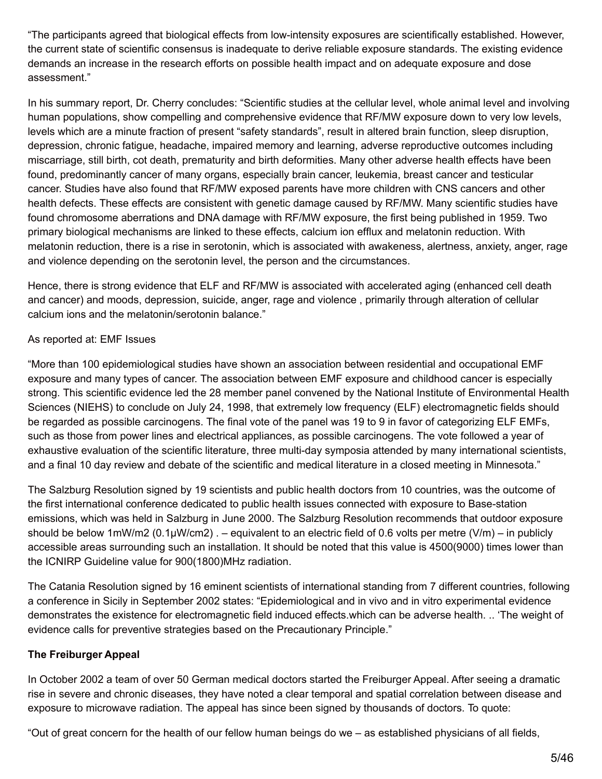"The participants agreed that biological effects from low-intensity exposures are scientifically established. However, the current state of scientific consensus is inadequate to derive reliable exposure standards. The existing evidence demands an increase in the research efforts on possible health impact and on adequate exposure and dose assessment."

In his summary report, Dr. Cherry concludes: "Scientific studies at the cellular level, whole animal level and involving human populations, show compelling and comprehensive evidence that RF/MW exposure down to very low levels, levels which are a minute fraction of present "safety standards", result in altered brain function, sleep disruption, depression, chronic fatigue, headache, impaired memory and learning, adverse reproductive outcomes including miscarriage, still birth, cot death, prematurity and birth deformities. Many other adverse health effects have been found, predominantly cancer of many organs, especially brain cancer, leukemia, breast cancer and testicular cancer. Studies have also found that RF/MW exposed parents have more children with CNS cancers and other health defects. These effects are consistent with genetic damage caused by RF/MW. Many scientific studies have found chromosome aberrations and DNA damage with RF/MW exposure, the first being published in 1959. Two primary biological mechanisms are linked to these effects, calcium ion efflux and melatonin reduction. With melatonin reduction, there is a rise in serotonin, which is associated with awakeness, alertness, anxiety, anger, rage and violence depending on the serotonin level, the person and the circumstances.

Hence, there is strong evidence that ELF and RF/MW is associated with accelerated aging (enhanced cell death and cancer) and moods, depression, suicide, anger, rage and violence , primarily through alteration of cellular calcium ions and the melatonin/serotonin balance."

### As reported at: EMF Issues

"More than 100 epidemiological studies have shown an association between residential and occupational EMF exposure and many types of cancer. The association between EMF exposure and childhood cancer is especially strong. This scientific evidence led the 28 member panel convened by the National Institute of Environmental Health Sciences (NIEHS) to conclude on July 24, 1998, that extremely low frequency (ELF) electromagnetic fields should be regarded as possible carcinogens. The final vote of the panel was 19 to 9 in favor of categorizing ELF EMFs, such as those from power lines and electrical appliances, as possible carcinogens. The vote followed a year of exhaustive evaluation of the scientific literature, three multi-day symposia attended by many international scientists, and a final 10 day review and debate of the scientific and medical literature in a closed meeting in Minnesota."

The Salzburg Resolution signed by 19 scientists and public health doctors from 10 countries, was the outcome of the first international conference dedicated to public health issues connected with exposure to Base-station emissions, which was held in Salzburg in June 2000. The Salzburg Resolution recommends that outdoor exposure should be below 1mW/m2 (0.1µW/cm2) . – equivalent to an electric field of 0.6 volts per metre (V/m) – in publicly accessible areas surrounding such an installation. It should be noted that this value is 4500(9000) times lower than the ICNIRP Guideline value for 900(1800)MHz radiation.

The Catania Resolution signed by 16 eminent scientists of international standing from 7 different countries, following a conference in Sicily in September 2002 states: "Epidemiological and in vivo and in vitro experimental evidence demonstrates the existence for electromagnetic field induced effects.which can be adverse health. .. 'The weight of evidence calls for preventive strategies based on the Precautionary Principle."

### **The Freiburger Appeal**

In October 2002 a team of over 50 German medical doctors started the Freiburger Appeal. After seeing a dramatic rise in severe and chronic diseases, they have noted a clear temporal and spatial correlation between disease and exposure to microwave radiation. The appeal has since been signed by thousands of doctors. To quote:

"Out of great concern for the health of our fellow human beings do we – as established physicians of all fields,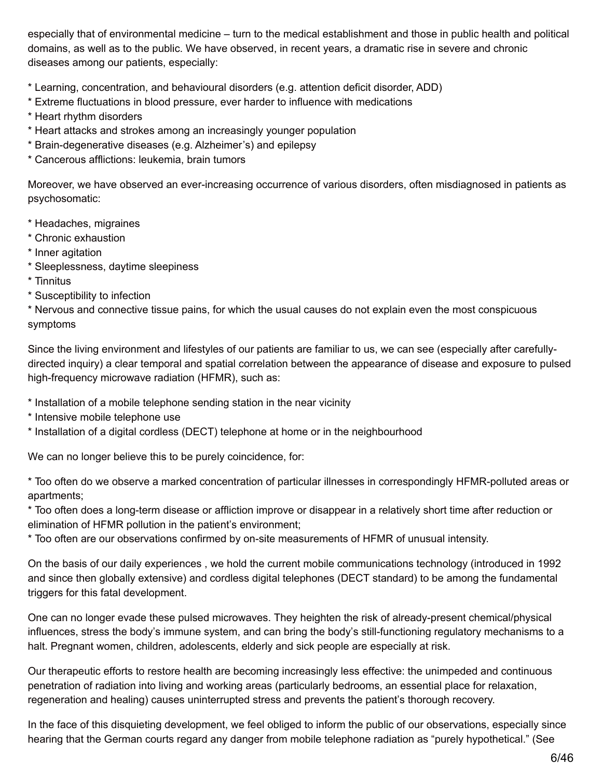especially that of environmental medicine – turn to the medical establishment and those in public health and political domains, as well as to the public. We have observed, in recent years, a dramatic rise in severe and chronic diseases among our patients, especially:

- \* Learning, concentration, and behavioural disorders (e.g. attention deficit disorder, ADD)
- \* Extreme fluctuations in blood pressure, ever harder to influence with medications
- \* Heart rhythm disorders
- \* Heart attacks and strokes among an increasingly younger population
- \* Brain-degenerative diseases (e.g. Alzheimer's) and epilepsy
- \* Cancerous afflictions: leukemia, brain tumors

Moreover, we have observed an ever-increasing occurrence of various disorders, often misdiagnosed in patients as psychosomatic:

\* Headaches, migraines

- \* Chronic exhaustion
- \* Inner agitation
- \* Sleeplessness, daytime sleepiness
- \* Tinnitus
- \* Susceptibility to infection

\* Nervous and connective tissue pains, for which the usual causes do not explain even the most conspicuous symptoms

Since the living environment and lifestyles of our patients are familiar to us, we can see (especially after carefullydirected inquiry) a clear temporal and spatial correlation between the appearance of disease and exposure to pulsed high-frequency microwave radiation (HFMR), such as:

- \* Installation of a mobile telephone sending station in the near vicinity
- \* Intensive mobile telephone use
- \* Installation of a digital cordless (DECT) telephone at home or in the neighbourhood

We can no longer believe this to be purely coincidence, for:

\* Too often do we observe a marked concentration of particular illnesses in correspondingly HFMR-polluted areas or apartments;

\* Too often does a long-term disease or affliction improve or disappear in a relatively short time after reduction or elimination of HFMR pollution in the patient's environment;

\* Too often are our observations confirmed by on-site measurements of HFMR of unusual intensity.

On the basis of our daily experiences , we hold the current mobile communications technology (introduced in 1992 and since then globally extensive) and cordless digital telephones (DECT standard) to be among the fundamental triggers for this fatal development.

One can no longer evade these pulsed microwaves. They heighten the risk of already-present chemical/physical influences, stress the body's immune system, and can bring the body's still-functioning regulatory mechanisms to a halt. Pregnant women, children, adolescents, elderly and sick people are especially at risk.

Our therapeutic efforts to restore health are becoming increasingly less effective: the unimpeded and continuous penetration of radiation into living and working areas (particularly bedrooms, an essential place for relaxation, regeneration and healing) causes uninterrupted stress and prevents the patient's thorough recovery.

In the face of this disquieting development, we feel obliged to inform the public of our observations, especially since hearing that the German courts regard any danger from mobile telephone radiation as "purely hypothetical." (See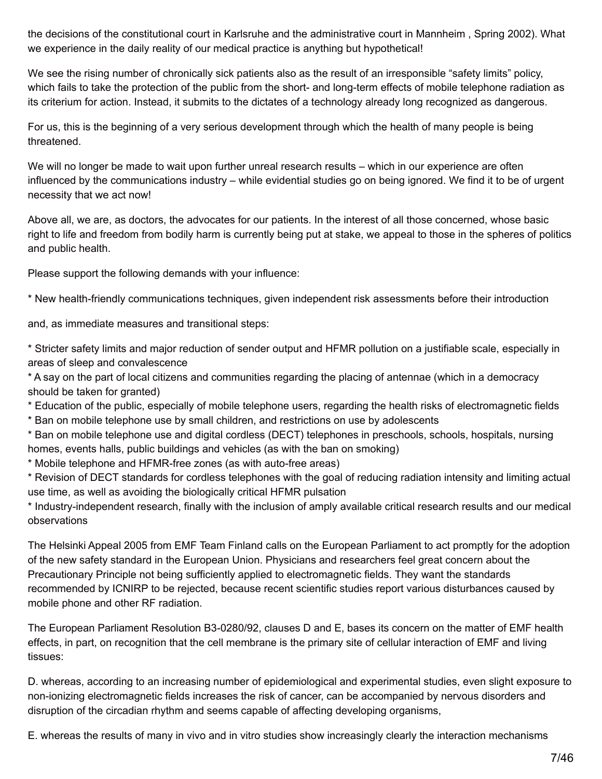the decisions of the constitutional court in Karlsruhe and the administrative court in Mannheim , Spring 2002). What we experience in the daily reality of our medical practice is anything but hypothetical!

We see the rising number of chronically sick patients also as the result of an irresponsible "safety limits" policy, which fails to take the protection of the public from the short- and long-term effects of mobile telephone radiation as its criterium for action. Instead, it submits to the dictates of a technology already long recognized as dangerous.

For us, this is the beginning of a very serious development through which the health of many people is being threatened.

We will no longer be made to wait upon further unreal research results – which in our experience are often influenced by the communications industry – while evidential studies go on being ignored. We find it to be of urgent necessity that we act now!

Above all, we are, as doctors, the advocates for our patients. In the interest of all those concerned, whose basic right to life and freedom from bodily harm is currently being put at stake, we appeal to those in the spheres of politics and public health.

Please support the following demands with your influence:

\* New health-friendly communications techniques, given independent risk assessments before their introduction

and, as immediate measures and transitional steps:

\* Stricter safety limits and major reduction of sender output and HFMR pollution on a justifiable scale, especially in areas of sleep and convalescence

\* A say on the part of local citizens and communities regarding the placing of antennae (which in a democracy should be taken for granted)

- \* Education of the public, especially of mobile telephone users, regarding the health risks of electromagnetic fields
- \* Ban on mobile telephone use by small children, and restrictions on use by adolescents

\* Ban on mobile telephone use and digital cordless (DECT) telephones in preschools, schools, hospitals, nursing homes, events halls, public buildings and vehicles (as with the ban on smoking)

\* Mobile telephone and HFMR-free zones (as with auto-free areas)

\* Revision of DECT standards for cordless telephones with the goal of reducing radiation intensity and limiting actual use time, as well as avoiding the biologically critical HFMR pulsation

\* Industry-independent research, finally with the inclusion of amply available critical research results and our medical observations

The Helsinki Appeal 2005 from EMF Team Finland calls on the European Parliament to act promptly for the adoption of the new safety standard in the European Union. Physicians and researchers feel great concern about the Precautionary Principle not being sufficiently applied to electromagnetic fields. They want the standards recommended by ICNIRP to be rejected, because recent scientific studies report various disturbances caused by mobile phone and other RF radiation.

The European Parliament Resolution B3-0280/92, clauses D and E, bases its concern on the matter of EMF health effects, in part, on recognition that the cell membrane is the primary site of cellular interaction of EMF and living tissues:

D. whereas, according to an increasing number of epidemiological and experimental studies, even slight exposure to non-ionizing electromagnetic fields increases the risk of cancer, can be accompanied by nervous disorders and disruption of the circadian rhythm and seems capable of affecting developing organisms,

E. whereas the results of many in vivo and in vitro studies show increasingly clearly the interaction mechanisms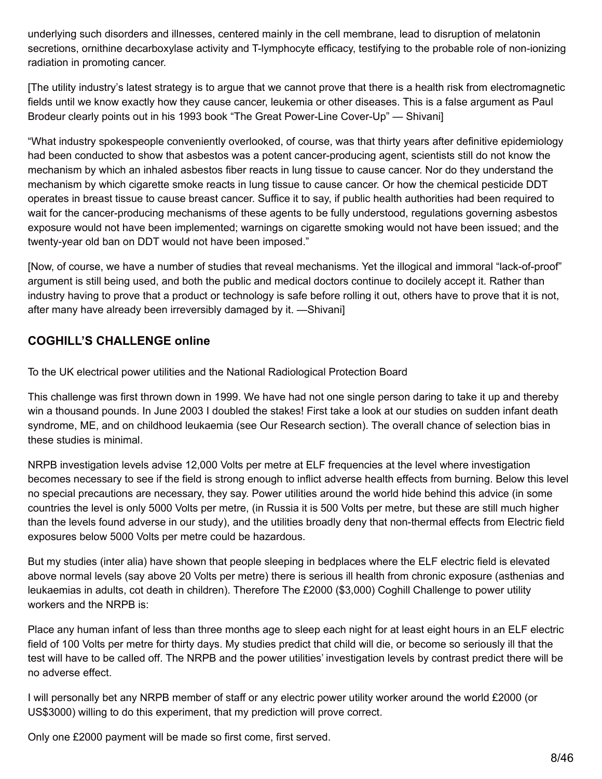underlying such disorders and illnesses, centered mainly in the cell membrane, lead to disruption of melatonin secretions, ornithine decarboxylase activity and T-lymphocyte efficacy, testifying to the probable role of non-ionizing radiation in promoting cancer.

[The utility industry's latest strategy is to argue that we cannot prove that there is a health risk from electromagnetic fields until we know exactly how they cause cancer, leukemia or other diseases. This is a false argument as Paul Brodeur clearly points out in his 1993 book "The Great Power-Line Cover-Up" — Shivani]

"What industry spokespeople conveniently overlooked, of course, was that thirty years after definitive epidemiology had been conducted to show that asbestos was a potent cancer-producing agent, scientists still do not know the mechanism by which an inhaled asbestos fiber reacts in lung tissue to cause cancer. Nor do they understand the mechanism by which cigarette smoke reacts in lung tissue to cause cancer. Or how the chemical pesticide DDT operates in breast tissue to cause breast cancer. Suffice it to say, if public health authorities had been required to wait for the cancer-producing mechanisms of these agents to be fully understood, regulations governing asbestos exposure would not have been implemented; warnings on cigarette smoking would not have been issued; and the twenty-year old ban on DDT would not have been imposed."

[Now, of course, we have a number of studies that reveal mechanisms. Yet the illogical and immoral "lack-of-proof" argument is still being used, and both the public and medical doctors continue to docilely accept it. Rather than industry having to prove that a product or technology is safe before rolling it out, others have to prove that it is not, after many have already been irreversibly damaged by it. —Shivani]

# **COGHILL'S CHALLENGE online**

To the UK electrical power utilities and the National Radiological Protection Board

This challenge was first thrown down in 1999. We have had not one single person daring to take it up and thereby win a thousand pounds. In June 2003 I doubled the stakes! First take a look at our studies on sudden infant death syndrome, ME, and on childhood leukaemia (see Our Research section). The overall chance of selection bias in these studies is minimal.

NRPB investigation levels advise 12,000 Volts per metre at ELF frequencies at the level where investigation becomes necessary to see if the field is strong enough to inflict adverse health effects from burning. Below this level no special precautions are necessary, they say. Power utilities around the world hide behind this advice (in some countries the level is only 5000 Volts per metre, (in Russia it is 500 Volts per metre, but these are still much higher than the levels found adverse in our study), and the utilities broadly deny that non-thermal effects from Electric field exposures below 5000 Volts per metre could be hazardous.

But my studies (inter alia) have shown that people sleeping in bedplaces where the ELF electric field is elevated above normal levels (say above 20 Volts per metre) there is serious ill health from chronic exposure (asthenias and leukaemias in adults, cot death in children). Therefore The £2000 (\$3,000) Coghill Challenge to power utility workers and the NRPB is:

Place any human infant of less than three months age to sleep each night for at least eight hours in an ELF electric field of 100 Volts per metre for thirty days. My studies predict that child will die, or become so seriously ill that the test will have to be called off. The NRPB and the power utilities' investigation levels by contrast predict there will be no adverse effect.

I will personally bet any NRPB member of staff or any electric power utility worker around the world £2000 (or US\$3000) willing to do this experiment, that my prediction will prove correct.

Only one £2000 payment will be made so first come, first served.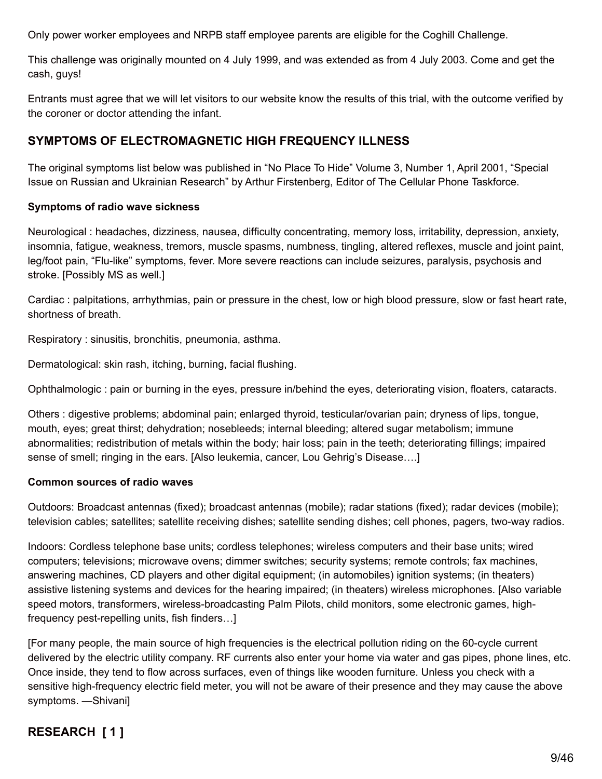Only power worker employees and NRPB staff employee parents are eligible for the Coghill Challenge.

This challenge was originally mounted on 4 July 1999, and was extended as from 4 July 2003. Come and get the cash, guys!

Entrants must agree that we will let visitors to our website know the results of this trial, with the outcome verified by the coroner or doctor attending the infant.

# **SYMPTOMS OF ELECTROMAGNETIC HIGH FREQUENCY ILLNESS**

The original symptoms list below was published in "No Place To Hide" Volume 3, Number 1, April 2001, "Special Issue on Russian and Ukrainian Research" by Arthur Firstenberg, Editor of The Cellular Phone Taskforce.

### **Symptoms of radio wave sickness**

Neurological : headaches, dizziness, nausea, difficulty concentrating, memory loss, irritability, depression, anxiety, insomnia, fatigue, weakness, tremors, muscle spasms, numbness, tingling, altered reflexes, muscle and joint paint, leg/foot pain, "Flu-like" symptoms, fever. More severe reactions can include seizures, paralysis, psychosis and stroke. [Possibly MS as well.]

Cardiac : palpitations, arrhythmias, pain or pressure in the chest, low or high blood pressure, slow or fast heart rate, shortness of breath.

Respiratory : sinusitis, bronchitis, pneumonia, asthma.

Dermatological: skin rash, itching, burning, facial flushing.

Ophthalmologic : pain or burning in the eyes, pressure in/behind the eyes, deteriorating vision, floaters, cataracts.

Others : digestive problems; abdominal pain; enlarged thyroid, testicular/ovarian pain; dryness of lips, tongue, mouth, eyes; great thirst; dehydration; nosebleeds; internal bleeding; altered sugar metabolism; immune abnormalities; redistribution of metals within the body; hair loss; pain in the teeth; deteriorating fillings; impaired sense of smell; ringing in the ears. [Also leukemia, cancer, Lou Gehrig's Disease….]

### **Common sources of radio waves**

Outdoors: Broadcast antennas (fixed); broadcast antennas (mobile); radar stations (fixed); radar devices (mobile); television cables; satellites; satellite receiving dishes; satellite sending dishes; cell phones, pagers, two-way radios.

Indoors: Cordless telephone base units; cordless telephones; wireless computers and their base units; wired computers; televisions; microwave ovens; dimmer switches; security systems; remote controls; fax machines, answering machines, CD players and other digital equipment; (in automobiles) ignition systems; (in theaters) assistive listening systems and devices for the hearing impaired; (in theaters) wireless microphones. [Also variable speed motors, transformers, wireless-broadcasting Palm Pilots, child monitors, some electronic games, highfrequency pest-repelling units, fish finders…]

[For many people, the main source of high frequencies is the electrical pollution riding on the 60-cycle current delivered by the electric utility company. RF currents also enter your home via water and gas pipes, phone lines, etc. Once inside, they tend to flow across surfaces, even of things like wooden furniture. Unless you check with a sensitive high-frequency electric field meter, you will not be aware of their presence and they may cause the above symptoms. —Shivani]

# **RESEARCH [ 1 ]**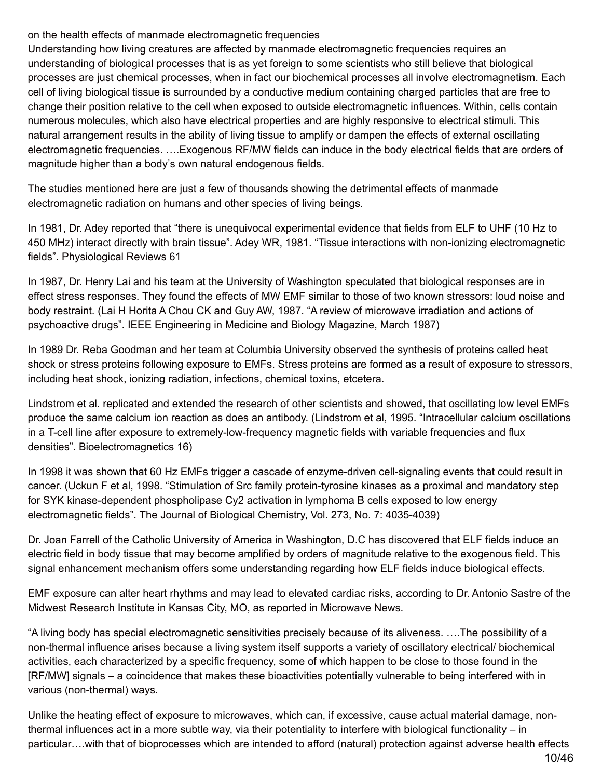on the health effects of manmade electromagnetic frequencies

Understanding how living creatures are affected by manmade electromagnetic frequencies requires an understanding of biological processes that is as yet foreign to some scientists who still believe that biological processes are just chemical processes, when in fact our biochemical processes all involve electromagnetism. Each cell of living biological tissue is surrounded by a conductive medium containing charged particles that are free to change their position relative to the cell when exposed to outside electromagnetic influences. Within, cells contain numerous molecules, which also have electrical properties and are highly responsive to electrical stimuli. This natural arrangement results in the ability of living tissue to amplify or dampen the effects of external oscillating electromagnetic frequencies. ….Exogenous RF/MW fields can induce in the body electrical fields that are orders of magnitude higher than a body's own natural endogenous fields.

The studies mentioned here are just a few of thousands showing the detrimental effects of manmade electromagnetic radiation on humans and other species of living beings.

In 1981, Dr. Adey reported that "there is unequivocal experimental evidence that fields from ELF to UHF (10 Hz to 450 MHz) interact directly with brain tissue". Adey WR, 1981. "Tissue interactions with non-ionizing electromagnetic fields". Physiological Reviews 61

In 1987, Dr. Henry Lai and his team at the University of Washington speculated that biological responses are in effect stress responses. They found the effects of MW EMF similar to those of two known stressors: loud noise and body restraint. (Lai H Horita A Chou CK and Guy AW, 1987. "A review of microwave irradiation and actions of psychoactive drugs". IEEE Engineering in Medicine and Biology Magazine, March 1987)

In 1989 Dr. Reba Goodman and her team at Columbia University observed the synthesis of proteins called heat shock or stress proteins following exposure to EMFs. Stress proteins are formed as a result of exposure to stressors, including heat shock, ionizing radiation, infections, chemical toxins, etcetera.

Lindstrom et al. replicated and extended the research of other scientists and showed, that oscillating low level EMFs produce the same calcium ion reaction as does an antibody. (Lindstrom et al, 1995. "Intracellular calcium oscillations in a T-cell line after exposure to extremely-low-frequency magnetic fields with variable frequencies and flux densities". Bioelectromagnetics 16)

In 1998 it was shown that 60 Hz EMFs trigger a cascade of enzyme-driven cell-signaling events that could result in cancer. (Uckun F et al, 1998. "Stimulation of Src family protein-tyrosine kinases as a proximal and mandatory step for SYK kinase-dependent phospholipase Cy2 activation in lymphoma B cells exposed to low energy electromagnetic fields". The Journal of Biological Chemistry, Vol. 273, No. 7: 4035-4039)

Dr. Joan Farrell of the Catholic University of America in Washington, D.C has discovered that ELF fields induce an electric field in body tissue that may become amplified by orders of magnitude relative to the exogenous field. This signal enhancement mechanism offers some understanding regarding how ELF fields induce biological effects.

EMF exposure can alter heart rhythms and may lead to elevated cardiac risks, according to Dr. Antonio Sastre of the Midwest Research Institute in Kansas City, MO, as reported in Microwave News.

"A living body has special electromagnetic sensitivities precisely because of its aliveness. ….The possibility of a non-thermal influence arises because a living system itself supports a variety of oscillatory electrical/ biochemical activities, each characterized by a specific frequency, some of which happen to be close to those found in the [RF/MW] signals – a coincidence that makes these bioactivities potentially vulnerable to being interfered with in various (non-thermal) ways.

Unlike the heating effect of exposure to microwaves, which can, if excessive, cause actual material damage, nonthermal influences act in a more subtle way, via their potentiality to interfere with biological functionality – in particular….with that of bioprocesses which are intended to afford (natural) protection against adverse health effects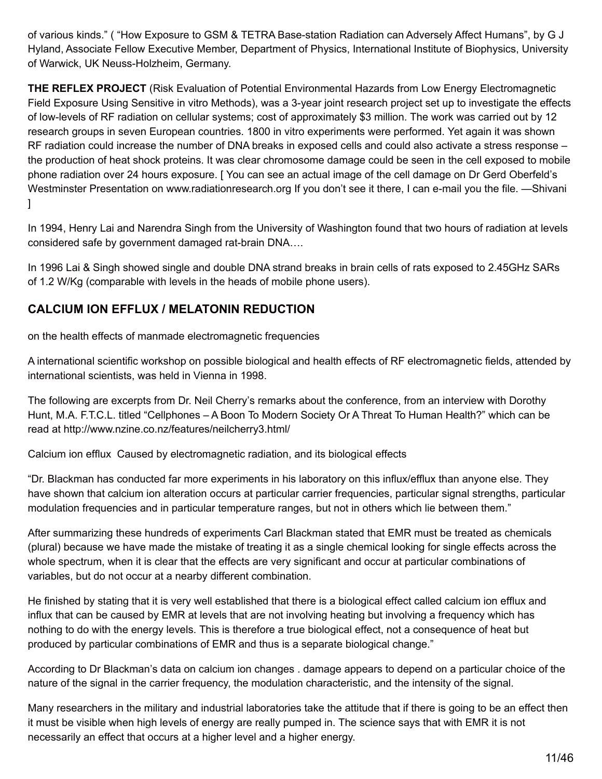of various kinds." ( "How Exposure to GSM & TETRA Base-station Radiation can Adversely Affect Humans", by G J Hyland, Associate Fellow Executive Member, Department of Physics, International Institute of Biophysics, University of Warwick, UK Neuss-Holzheim, Germany.

**THE REFLEX PROJECT** (Risk Evaluation of Potential Environmental Hazards from Low Energy Electromagnetic Field Exposure Using Sensitive in vitro Methods), was a 3-year joint research project set up to investigate the effects of low-levels of RF radiation on cellular systems; cost of approximately \$3 million. The work was carried out by 12 research groups in seven European countries. 1800 in vitro experiments were performed. Yet again it was shown RF radiation could increase the number of DNA breaks in exposed cells and could also activate a stress response – the production of heat shock proteins. It was clear chromosome damage could be seen in the cell exposed to mobile phone radiation over 24 hours exposure. [ You can see an actual image of the cell damage on Dr Gerd Oberfeld's Westminster Presentation on www.radiationresearch.org If you don't see it there, I can e-mail you the file. —Shivani ]

In 1994, Henry Lai and Narendra Singh from the University of Washington found that two hours of radiation at levels considered safe by government damaged rat-brain DNA….

In 1996 Lai & Singh showed single and double DNA strand breaks in brain cells of rats exposed to 2.45GHz SARs of 1.2 W/Kg (comparable with levels in the heads of mobile phone users).

# **CALCIUM ION EFFLUX / MELATONIN REDUCTION**

on the health effects of manmade electromagnetic frequencies

A international scientific workshop on possible biological and health effects of RF electromagnetic fields, attended by international scientists, was held in Vienna in 1998.

The following are excerpts from Dr. Neil Cherry's remarks about the conference, from an interview with Dorothy Hunt, M.A. F.T.C.L. titled "Cellphones – A Boon To Modern Society Or A Threat To Human Health?" which can be read at http://www.nzine.co.nz/features/neilcherry3.html/

Calcium ion efflux Caused by electromagnetic radiation, and its biological effects

"Dr. Blackman has conducted far more experiments in his laboratory on this influx/efflux than anyone else. They have shown that calcium ion alteration occurs at particular carrier frequencies, particular signal strengths, particular modulation frequencies and in particular temperature ranges, but not in others which lie between them."

After summarizing these hundreds of experiments Carl Blackman stated that EMR must be treated as chemicals (plural) because we have made the mistake of treating it as a single chemical looking for single effects across the whole spectrum, when it is clear that the effects are very significant and occur at particular combinations of variables, but do not occur at a nearby different combination.

He finished by stating that it is very well established that there is a biological effect called calcium ion efflux and influx that can be caused by EMR at levels that are not involving heating but involving a frequency which has nothing to do with the energy levels. This is therefore a true biological effect, not a consequence of heat but produced by particular combinations of EMR and thus is a separate biological change."

According to Dr Blackman's data on calcium ion changes . damage appears to depend on a particular choice of the nature of the signal in the carrier frequency, the modulation characteristic, and the intensity of the signal.

Many researchers in the military and industrial laboratories take the attitude that if there is going to be an effect then it must be visible when high levels of energy are really pumped in. The science says that with EMR it is not necessarily an effect that occurs at a higher level and a higher energy.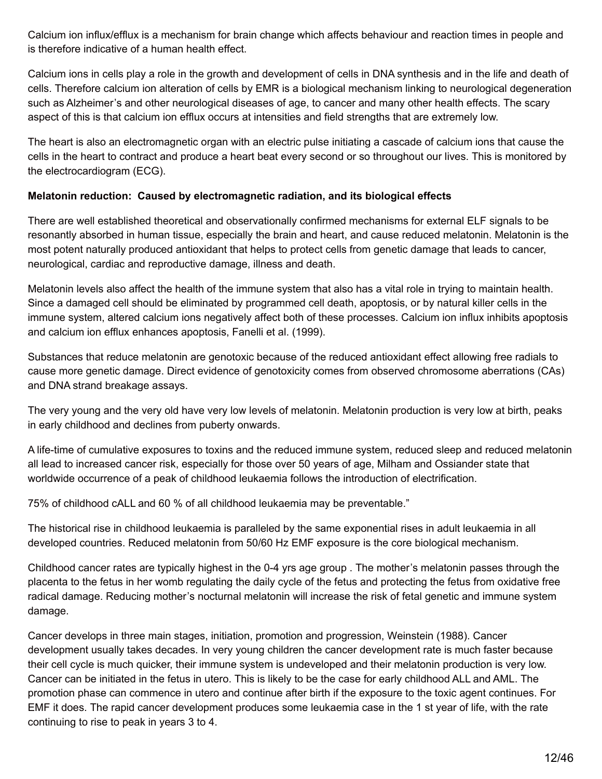Calcium ion influx/efflux is a mechanism for brain change which affects behaviour and reaction times in people and is therefore indicative of a human health effect.

Calcium ions in cells play a role in the growth and development of cells in DNA synthesis and in the life and death of cells. Therefore calcium ion alteration of cells by EMR is a biological mechanism linking to neurological degeneration such as Alzheimer's and other neurological diseases of age, to cancer and many other health effects. The scary aspect of this is that calcium ion efflux occurs at intensities and field strengths that are extremely low.

The heart is also an electromagnetic organ with an electric pulse initiating a cascade of calcium ions that cause the cells in the heart to contract and produce a heart beat every second or so throughout our lives. This is monitored by the electrocardiogram (ECG).

### **Melatonin reduction: Caused by electromagnetic radiation, and its biological effects**

There are well established theoretical and observationally confirmed mechanisms for external ELF signals to be resonantly absorbed in human tissue, especially the brain and heart, and cause reduced melatonin. Melatonin is the most potent naturally produced antioxidant that helps to protect cells from genetic damage that leads to cancer, neurological, cardiac and reproductive damage, illness and death.

Melatonin levels also affect the health of the immune system that also has a vital role in trying to maintain health. Since a damaged cell should be eliminated by programmed cell death, apoptosis, or by natural killer cells in the immune system, altered calcium ions negatively affect both of these processes. Calcium ion influx inhibits apoptosis and calcium ion efflux enhances apoptosis, Fanelli et al. (1999).

Substances that reduce melatonin are genotoxic because of the reduced antioxidant effect allowing free radials to cause more genetic damage. Direct evidence of genotoxicity comes from observed chromosome aberrations (CAs) and DNA strand breakage assays.

The very young and the very old have very low levels of melatonin. Melatonin production is very low at birth, peaks in early childhood and declines from puberty onwards.

A life-time of cumulative exposures to toxins and the reduced immune system, reduced sleep and reduced melatonin all lead to increased cancer risk, especially for those over 50 years of age, Milham and Ossiander state that worldwide occurrence of a peak of childhood leukaemia follows the introduction of electrification.

75% of childhood cALL and 60 % of all childhood leukaemia may be preventable."

The historical rise in childhood leukaemia is paralleled by the same exponential rises in adult leukaemia in all developed countries. Reduced melatonin from 50/60 Hz EMF exposure is the core biological mechanism.

Childhood cancer rates are typically highest in the 0-4 yrs age group . The mother's melatonin passes through the placenta to the fetus in her womb regulating the daily cycle of the fetus and protecting the fetus from oxidative free radical damage. Reducing mother's nocturnal melatonin will increase the risk of fetal genetic and immune system damage.

Cancer develops in three main stages, initiation, promotion and progression, Weinstein (1988). Cancer development usually takes decades. In very young children the cancer development rate is much faster because their cell cycle is much quicker, their immune system is undeveloped and their melatonin production is very low. Cancer can be initiated in the fetus in utero. This is likely to be the case for early childhood ALL and AML. The promotion phase can commence in utero and continue after birth if the exposure to the toxic agent continues. For EMF it does. The rapid cancer development produces some leukaemia case in the 1 st year of life, with the rate continuing to rise to peak in years 3 to 4.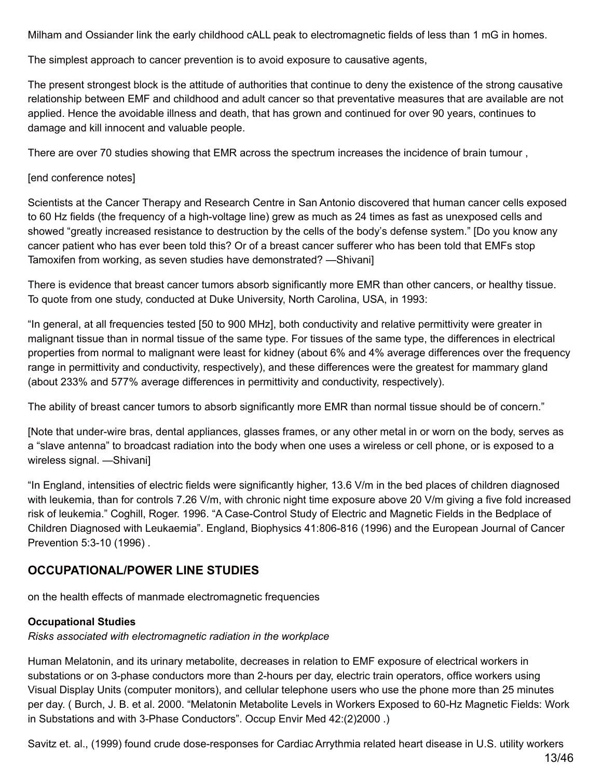Milham and Ossiander link the early childhood cALL peak to electromagnetic fields of less than 1 mG in homes.

The simplest approach to cancer prevention is to avoid exposure to causative agents,

The present strongest block is the attitude of authorities that continue to deny the existence of the strong causative relationship between EMF and childhood and adult cancer so that preventative measures that are available are not applied. Hence the avoidable illness and death, that has grown and continued for over 90 years, continues to damage and kill innocent and valuable people.

There are over 70 studies showing that EMR across the spectrum increases the incidence of brain tumour ,

### [end conference notes]

Scientists at the Cancer Therapy and Research Centre in San Antonio discovered that human cancer cells exposed to 60 Hz fields (the frequency of a high-voltage line) grew as much as 24 times as fast as unexposed cells and showed "greatly increased resistance to destruction by the cells of the body's defense system." [Do you know any cancer patient who has ever been told this? Or of a breast cancer sufferer who has been told that EMFs stop Tamoxifen from working, as seven studies have demonstrated? —Shivani]

There is evidence that breast cancer tumors absorb significantly more EMR than other cancers, or healthy tissue. To quote from one study, conducted at Duke University, North Carolina, USA, in 1993:

"In general, at all frequencies tested [50 to 900 MHz], both conductivity and relative permittivity were greater in malignant tissue than in normal tissue of the same type. For tissues of the same type, the differences in electrical properties from normal to malignant were least for kidney (about 6% and 4% average differences over the frequency range in permittivity and conductivity, respectively), and these differences were the greatest for mammary gland (about 233% and 577% average differences in permittivity and conductivity, respectively).

The ability of breast cancer tumors to absorb significantly more EMR than normal tissue should be of concern."

[Note that under-wire bras, dental appliances, glasses frames, or any other metal in or worn on the body, serves as a "slave antenna" to broadcast radiation into the body when one uses a wireless or cell phone, or is exposed to a wireless signal. —Shivani]

"In England, intensities of electric fields were significantly higher, 13.6 V/m in the bed places of children diagnosed with leukemia, than for controls 7.26 V/m, with chronic night time exposure above 20 V/m giving a five fold increased risk of leukemia." Coghill, Roger. 1996. "A Case-Control Study of Electric and Magnetic Fields in the Bedplace of Children Diagnosed with Leukaemia". England, Biophysics 41:806-816 (1996) and the European Journal of Cancer Prevention 5:3-10 (1996) .

# **OCCUPATIONAL/POWER LINE STUDIES**

on the health effects of manmade electromagnetic frequencies

### **Occupational Studies**

*Risks associated with electromagnetic radiation in the workplace*

Human Melatonin, and its urinary metabolite, decreases in relation to EMF exposure of electrical workers in substations or on 3-phase conductors more than 2-hours per day, electric train operators, office workers using Visual Display Units (computer monitors), and cellular telephone users who use the phone more than 25 minutes per day. ( Burch, J. B. et al. 2000. "Melatonin Metabolite Levels in Workers Exposed to 60-Hz Magnetic Fields: Work in Substations and with 3-Phase Conductors". Occup Envir Med 42:(2)2000 .)

Savitz et. al., (1999) found crude dose-responses for Cardiac Arrythmia related heart disease in U.S. utility workers 13/46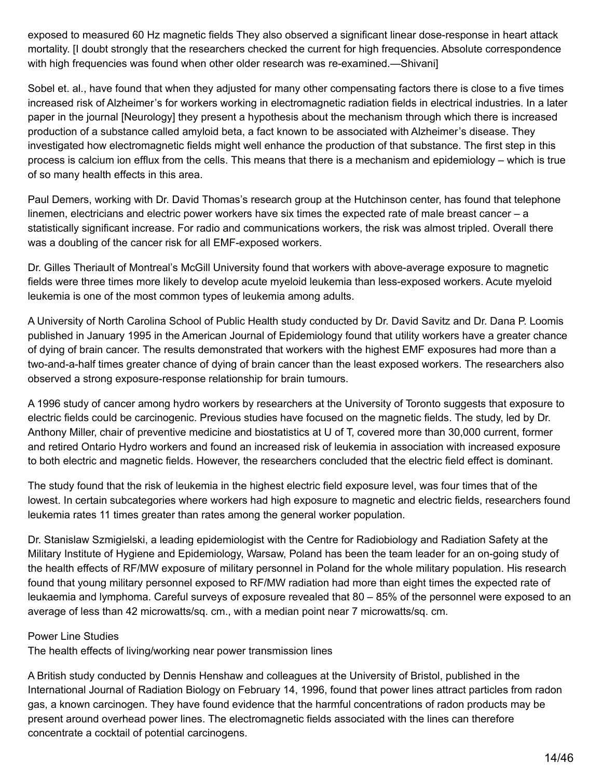exposed to measured 60 Hz magnetic fields They also observed a significant linear dose-response in heart attack mortality. [I doubt strongly that the researchers checked the current for high frequencies. Absolute correspondence with high frequencies was found when other older research was re-examined.—Shivani]

Sobel et. al., have found that when they adjusted for many other compensating factors there is close to a five times increased risk of Alzheimer's for workers working in electromagnetic radiation fields in electrical industries. In a later paper in the journal [Neurology] they present a hypothesis about the mechanism through which there is increased production of a substance called amyloid beta, a fact known to be associated with Alzheimer's disease. They investigated how electromagnetic fields might well enhance the production of that substance. The first step in this process is calcium ion efflux from the cells. This means that there is a mechanism and epidemiology – which is true of so many health effects in this area.

Paul Demers, working with Dr. David Thomas's research group at the Hutchinson center, has found that telephone linemen, electricians and electric power workers have six times the expected rate of male breast cancer – a statistically significant increase. For radio and communications workers, the risk was almost tripled. Overall there was a doubling of the cancer risk for all EMF-exposed workers.

Dr. Gilles Theriault of Montreal's McGill University found that workers with above-average exposure to magnetic fields were three times more likely to develop acute myeloid leukemia than less-exposed workers. Acute myeloid leukemia is one of the most common types of leukemia among adults.

A University of North Carolina School of Public Health study conducted by Dr. David Savitz and Dr. Dana P. Loomis published in January 1995 in the American Journal of Epidemiology found that utility workers have a greater chance of dying of brain cancer. The results demonstrated that workers with the highest EMF exposures had more than a two-and-a-half times greater chance of dying of brain cancer than the least exposed workers. The researchers also observed a strong exposure-response relationship for brain tumours.

A 1996 study of cancer among hydro workers by researchers at the University of Toronto suggests that exposure to electric fields could be carcinogenic. Previous studies have focused on the magnetic fields. The study, led by Dr. Anthony Miller, chair of preventive medicine and biostatistics at U of T, covered more than 30,000 current, former and retired Ontario Hydro workers and found an increased risk of leukemia in association with increased exposure to both electric and magnetic fields. However, the researchers concluded that the electric field effect is dominant.

The study found that the risk of leukemia in the highest electric field exposure level, was four times that of the lowest. In certain subcategories where workers had high exposure to magnetic and electric fields, researchers found leukemia rates 11 times greater than rates among the general worker population.

Dr. Stanislaw Szmigielski, a leading epidemiologist with the Centre for Radiobiology and Radiation Safety at the Military Institute of Hygiene and Epidemiology, Warsaw, Poland has been the team leader for an on-going study of the health effects of RF/MW exposure of military personnel in Poland for the whole military population. His research found that young military personnel exposed to RF/MW radiation had more than eight times the expected rate of leukaemia and lymphoma. Careful surveys of exposure revealed that 80 – 85% of the personnel were exposed to an average of less than 42 microwatts/sq. cm., with a median point near 7 microwatts/sq. cm.

### Power Line Studies

The health effects of living/working near power transmission lines

A British study conducted by Dennis Henshaw and colleagues at the University of Bristol, published in the International Journal of Radiation Biology on February 14, 1996, found that power lines attract particles from radon gas, a known carcinogen. They have found evidence that the harmful concentrations of radon products may be present around overhead power lines. The electromagnetic fields associated with the lines can therefore concentrate a cocktail of potential carcinogens.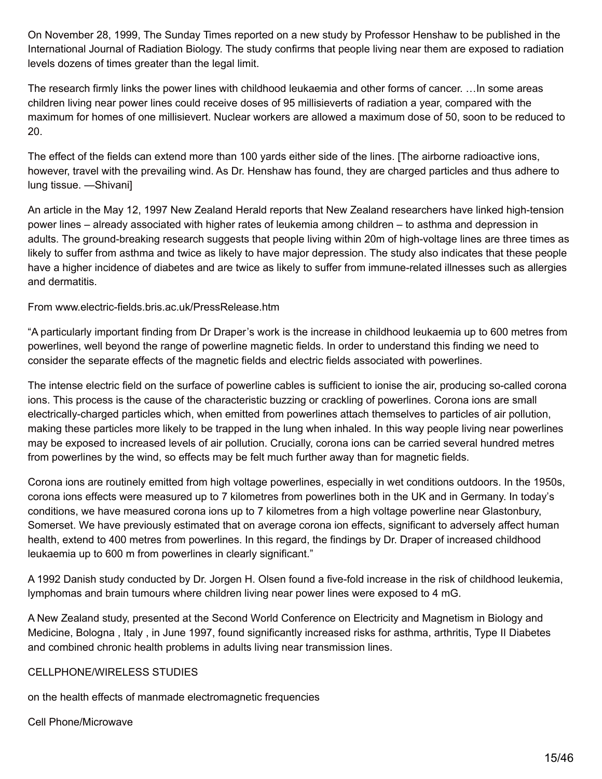On November 28, 1999, The Sunday Times reported on a new study by Professor Henshaw to be published in the International Journal of Radiation Biology. The study confirms that people living near them are exposed to radiation levels dozens of times greater than the legal limit.

The research firmly links the power lines with childhood leukaemia and other forms of cancer. …In some areas children living near power lines could receive doses of 95 millisieverts of radiation a year, compared with the maximum for homes of one millisievert. Nuclear workers are allowed a maximum dose of 50, soon to be reduced to 20.

The effect of the fields can extend more than 100 yards either side of the lines. [The airborne radioactive ions, however, travel with the prevailing wind. As Dr. Henshaw has found, they are charged particles and thus adhere to lung tissue. —Shivani]

An article in the May 12, 1997 New Zealand Herald reports that New Zealand researchers have linked high-tension power lines – already associated with higher rates of leukemia among children – to asthma and depression in adults. The ground-breaking research suggests that people living within 20m of high-voltage lines are three times as likely to suffer from asthma and twice as likely to have major depression. The study also indicates that these people have a higher incidence of diabetes and are twice as likely to suffer from immune-related illnesses such as allergies and dermatitis.

From www.electric-fields.bris.ac.uk/PressRelease.htm

"A particularly important finding from Dr Draper's work is the increase in childhood leukaemia up to 600 metres from powerlines, well beyond the range of powerline magnetic fields. In order to understand this finding we need to consider the separate effects of the magnetic fields and electric fields associated with powerlines.

The intense electric field on the surface of powerline cables is sufficient to ionise the air, producing so-called corona ions. This process is the cause of the characteristic buzzing or crackling of powerlines. Corona ions are small electrically-charged particles which, when emitted from powerlines attach themselves to particles of air pollution, making these particles more likely to be trapped in the lung when inhaled. In this way people living near powerlines may be exposed to increased levels of air pollution. Crucially, corona ions can be carried several hundred metres from powerlines by the wind, so effects may be felt much further away than for magnetic fields.

Corona ions are routinely emitted from high voltage powerlines, especially in wet conditions outdoors. In the 1950s, corona ions effects were measured up to 7 kilometres from powerlines both in the UK and in Germany. In today's conditions, we have measured corona ions up to 7 kilometres from a high voltage powerline near Glastonbury, Somerset. We have previously estimated that on average corona ion effects, significant to adversely affect human health, extend to 400 metres from powerlines. In this regard, the findings by Dr. Draper of increased childhood leukaemia up to 600 m from powerlines in clearly significant."

A 1992 Danish study conducted by Dr. Jorgen H. Olsen found a five-fold increase in the risk of childhood leukemia, lymphomas and brain tumours where children living near power lines were exposed to 4 mG.

A New Zealand study, presented at the Second World Conference on Electricity and Magnetism in Biology and Medicine, Bologna , Italy , in June 1997, found significantly increased risks for asthma, arthritis, Type II Diabetes and combined chronic health problems in adults living near transmission lines.

### CELLPHONE/WIRELESS STUDIES

on the health effects of manmade electromagnetic frequencies

### Cell Phone/Microwave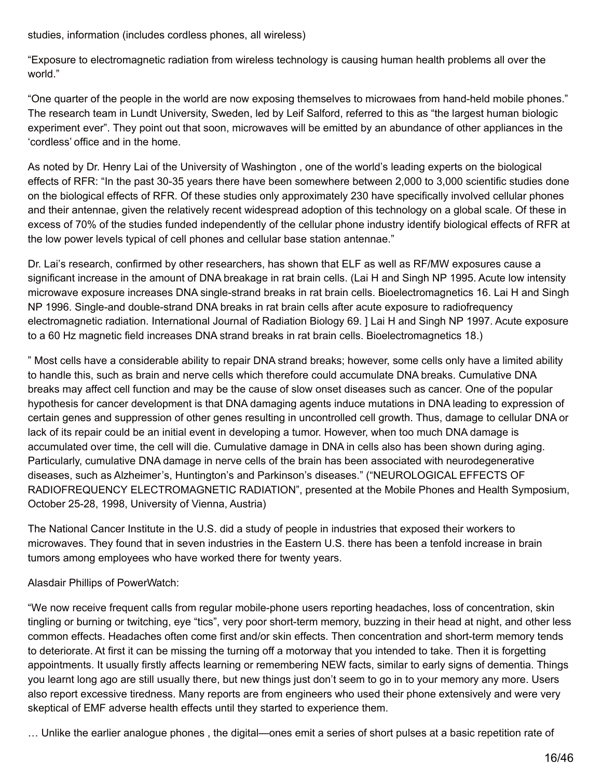studies, information (includes cordless phones, all wireless)

"Exposure to electromagnetic radiation from wireless technology is causing human health problems all over the world."

"One quarter of the people in the world are now exposing themselves to microwaes from hand-held mobile phones." The research team in Lundt University, Sweden, led by Leif Salford, referred to this as "the largest human biologic experiment ever". They point out that soon, microwaves will be emitted by an abundance of other appliances in the 'cordless' office and in the home.

As noted by Dr. Henry Lai of the University of Washington , one of the world's leading experts on the biological effects of RFR: "In the past 30-35 years there have been somewhere between 2,000 to 3,000 scientific studies done on the biological effects of RFR. Of these studies only approximately 230 have specifically involved cellular phones and their antennae, given the relatively recent widespread adoption of this technology on a global scale. Of these in excess of 70% of the studies funded independently of the cellular phone industry identify biological effects of RFR at the low power levels typical of cell phones and cellular base station antennae."

Dr. Lai's research, confirmed by other researchers, has shown that ELF as well as RF/MW exposures cause a significant increase in the amount of DNA breakage in rat brain cells. (Lai H and Singh NP 1995. Acute low intensity microwave exposure increases DNA single-strand breaks in rat brain cells. Bioelectromagnetics 16. Lai H and Singh NP 1996. Single-and double-strand DNA breaks in rat brain cells after acute exposure to radiofrequency electromagnetic radiation. International Journal of Radiation Biology 69. ] Lai H and Singh NP 1997. Acute exposure to a 60 Hz magnetic field increases DNA strand breaks in rat brain cells. Bioelectromagnetics 18.)

" Most cells have a considerable ability to repair DNA strand breaks; however, some cells only have a limited ability to handle this, such as brain and nerve cells which therefore could accumulate DNA breaks. Cumulative DNA breaks may affect cell function and may be the cause of slow onset diseases such as cancer. One of the popular hypothesis for cancer development is that DNA damaging agents induce mutations in DNA leading to expression of certain genes and suppression of other genes resulting in uncontrolled cell growth. Thus, damage to cellular DNA or lack of its repair could be an initial event in developing a tumor. However, when too much DNA damage is accumulated over time, the cell will die. Cumulative damage in DNA in cells also has been shown during aging. Particularly, cumulative DNA damage in nerve cells of the brain has been associated with neurodegenerative diseases, such as Alzheimer's, Huntington's and Parkinson's diseases." ("NEUROLOGICAL EFFECTS OF RADIOFREQUENCY ELECTROMAGNETIC RADIATION", presented at the Mobile Phones and Health Symposium, October 25-28, 1998, University of Vienna, Austria)

The National Cancer Institute in the U.S. did a study of people in industries that exposed their workers to microwaves. They found that in seven industries in the Eastern U.S. there has been a tenfold increase in brain tumors among employees who have worked there for twenty years.

Alasdair Phillips of PowerWatch:

"We now receive frequent calls from regular mobile-phone users reporting headaches, loss of concentration, skin tingling or burning or twitching, eye "tics", very poor short-term memory, buzzing in their head at night, and other less common effects. Headaches often come first and/or skin effects. Then concentration and short-term memory tends to deteriorate. At first it can be missing the turning off a motorway that you intended to take. Then it is forgetting appointments. It usually firstly affects learning or remembering NEW facts, similar to early signs of dementia. Things you learnt long ago are still usually there, but new things just don't seem to go in to your memory any more. Users also report excessive tiredness. Many reports are from engineers who used their phone extensively and were very skeptical of EMF adverse health effects until they started to experience them.

… Unlike the earlier analogue phones , the digital—ones emit a series of short pulses at a basic repetition rate of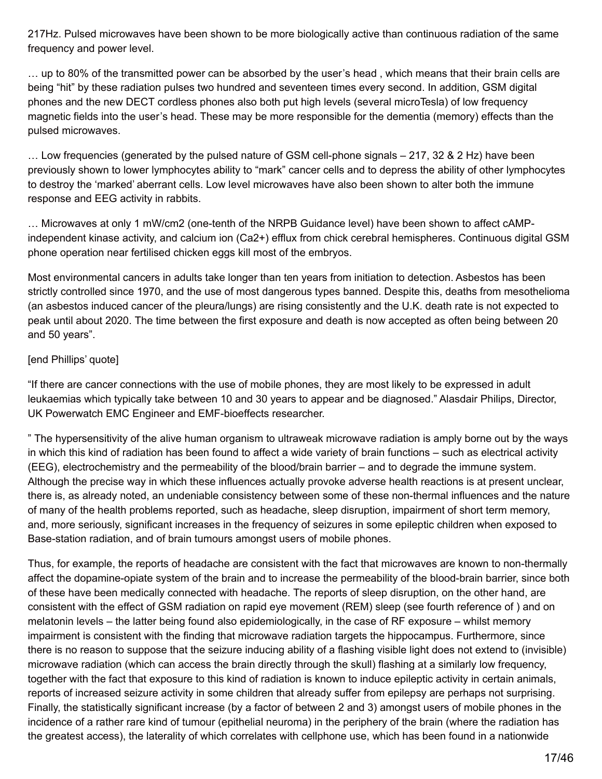217Hz. Pulsed microwaves have been shown to be more biologically active than continuous radiation of the same frequency and power level.

… up to 80% of the transmitted power can be absorbed by the user's head , which means that their brain cells are being "hit" by these radiation pulses two hundred and seventeen times every second. In addition, GSM digital phones and the new DECT cordless phones also both put high levels (several microTesla) of low frequency magnetic fields into the user's head. These may be more responsible for the dementia (memory) effects than the pulsed microwaves.

… Low frequencies (generated by the pulsed nature of GSM cell-phone signals – 217, 32 & 2 Hz) have been previously shown to lower lymphocytes ability to "mark" cancer cells and to depress the ability of other lymphocytes to destroy the 'marked' aberrant cells. Low level microwaves have also been shown to alter both the immune response and EEG activity in rabbits.

… Microwaves at only 1 mW/cm2 (one-tenth of the NRPB Guidance level) have been shown to affect cAMPindependent kinase activity, and calcium ion (Ca2+) efflux from chick cerebral hemispheres. Continuous digital GSM phone operation near fertilised chicken eggs kill most of the embryos.

Most environmental cancers in adults take longer than ten years from initiation to detection. Asbestos has been strictly controlled since 1970, and the use of most dangerous types banned. Despite this, deaths from mesothelioma (an asbestos induced cancer of the pleura/lungs) are rising consistently and the U.K. death rate is not expected to peak until about 2020. The time between the first exposure and death is now accepted as often being between 20 and 50 years".

### [end Phillips' quote]

"If there are cancer connections with the use of mobile phones, they are most likely to be expressed in adult leukaemias which typically take between 10 and 30 years to appear and be diagnosed." Alasdair Philips, Director, UK Powerwatch EMC Engineer and EMF-bioeffects researcher.

" The hypersensitivity of the alive human organism to ultraweak microwave radiation is amply borne out by the ways in which this kind of radiation has been found to affect a wide variety of brain functions – such as electrical activity (EEG), electrochemistry and the permeability of the blood/brain barrier – and to degrade the immune system. Although the precise way in which these influences actually provoke adverse health reactions is at present unclear, there is, as already noted, an undeniable consistency between some of these non-thermal influences and the nature of many of the health problems reported, such as headache, sleep disruption, impairment of short term memory, and, more seriously, significant increases in the frequency of seizures in some epileptic children when exposed to Base-station radiation, and of brain tumours amongst users of mobile phones.

Thus, for example, the reports of headache are consistent with the fact that microwaves are known to non-thermally affect the dopamine-opiate system of the brain and to increase the permeability of the blood-brain barrier, since both of these have been medically connected with headache. The reports of sleep disruption, on the other hand, are consistent with the effect of GSM radiation on rapid eye movement (REM) sleep (see fourth reference of ) and on melatonin levels – the latter being found also epidemiologically, in the case of RF exposure – whilst memory impairment is consistent with the finding that microwave radiation targets the hippocampus. Furthermore, since there is no reason to suppose that the seizure inducing ability of a flashing visible light does not extend to (invisible) microwave radiation (which can access the brain directly through the skull) flashing at a similarly low frequency, together with the fact that exposure to this kind of radiation is known to induce epileptic activity in certain animals, reports of increased seizure activity in some children that already suffer from epilepsy are perhaps not surprising. Finally, the statistically significant increase (by a factor of between 2 and 3) amongst users of mobile phones in the incidence of a rather rare kind of tumour (epithelial neuroma) in the periphery of the brain (where the radiation has the greatest access), the laterality of which correlates with cellphone use, which has been found in a nationwide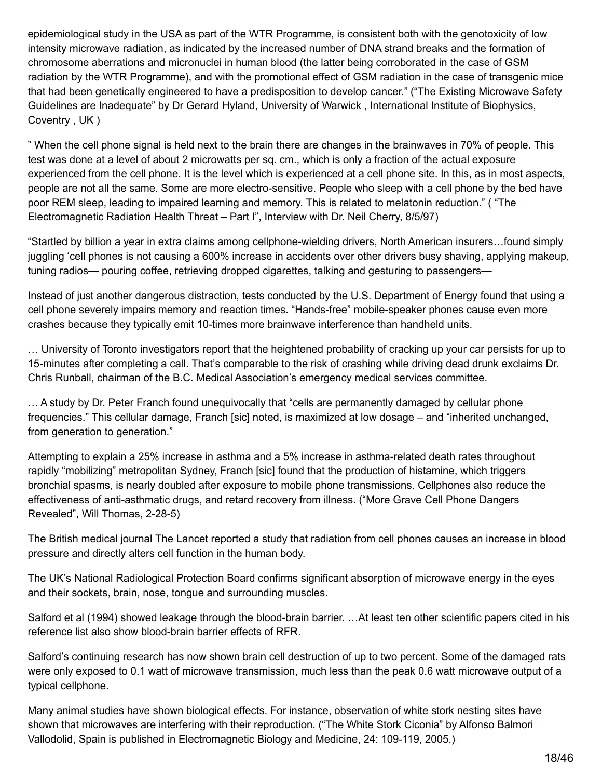epidemiological study in the USA as part of the WTR Programme, is consistent both with the genotoxicity of low intensity microwave radiation, as indicated by the increased number of DNA strand breaks and the formation of chromosome aberrations and micronuclei in human blood (the latter being corroborated in the case of GSM radiation by the WTR Programme), and with the promotional effect of GSM radiation in the case of transgenic mice that had been genetically engineered to have a predisposition to develop cancer." ("The Existing Microwave Safety Guidelines are Inadequate" by Dr Gerard Hyland, University of Warwick , International Institute of Biophysics, Coventry , UK )

" When the cell phone signal is held next to the brain there are changes in the brainwaves in 70% of people. This test was done at a level of about 2 microwatts per sq. cm., which is only a fraction of the actual exposure experienced from the cell phone. It is the level which is experienced at a cell phone site. In this, as in most aspects, people are not all the same. Some are more electro-sensitive. People who sleep with a cell phone by the bed have poor REM sleep, leading to impaired learning and memory. This is related to melatonin reduction." ( "The Electromagnetic Radiation Health Threat – Part I", Interview with Dr. Neil Cherry, 8/5/97)

"Startled by billion a year in extra claims among cellphone-wielding drivers, North American insurers…found simply juggling 'cell phones is not causing a 600% increase in accidents over other drivers busy shaving, applying makeup, tuning radios— pouring coffee, retrieving dropped cigarettes, talking and gesturing to passengers—

Instead of just another dangerous distraction, tests conducted by the U.S. Department of Energy found that using a cell phone severely impairs memory and reaction times. "Hands-free" mobile-speaker phones cause even more crashes because they typically emit 10-times more brainwave interference than handheld units.

… University of Toronto investigators report that the heightened probability of cracking up your car persists for up to 15-minutes after completing a call. That's comparable to the risk of crashing while driving dead drunk exclaims Dr. Chris Runball, chairman of the B.C. Medical Association's emergency medical services committee.

… A study by Dr. Peter Franch found unequivocally that "cells are permanently damaged by cellular phone frequencies." This cellular damage, Franch [sic] noted, is maximized at low dosage – and "inherited unchanged, from generation to generation."

Attempting to explain a 25% increase in asthma and a 5% increase in asthma-related death rates throughout rapidly "mobilizing" metropolitan Sydney, Franch [sic] found that the production of histamine, which triggers bronchial spasms, is nearly doubled after exposure to mobile phone transmissions. Cellphones also reduce the effectiveness of anti-asthmatic drugs, and retard recovery from illness. ("More Grave Cell Phone Dangers Revealed", Will Thomas, 2-28-5)

The British medical journal The Lancet reported a study that radiation from cell phones causes an increase in blood pressure and directly alters cell function in the human body.

The UK's National Radiological Protection Board confirms significant absorption of microwave energy in the eyes and their sockets, brain, nose, tongue and surrounding muscles.

Salford et al (1994) showed leakage through the blood-brain barrier. …At least ten other scientific papers cited in his reference list also show blood-brain barrier effects of RFR.

Salford's continuing research has now shown brain cell destruction of up to two percent. Some of the damaged rats were only exposed to 0.1 watt of microwave transmission, much less than the peak 0.6 watt microwave output of a typical cellphone.

Many animal studies have shown biological effects. For instance, observation of white stork nesting sites have shown that microwaves are interfering with their reproduction. ("The White Stork Ciconia" by Alfonso Balmori Vallodolid, Spain is published in Electromagnetic Biology and Medicine, 24: 109-119, 2005.)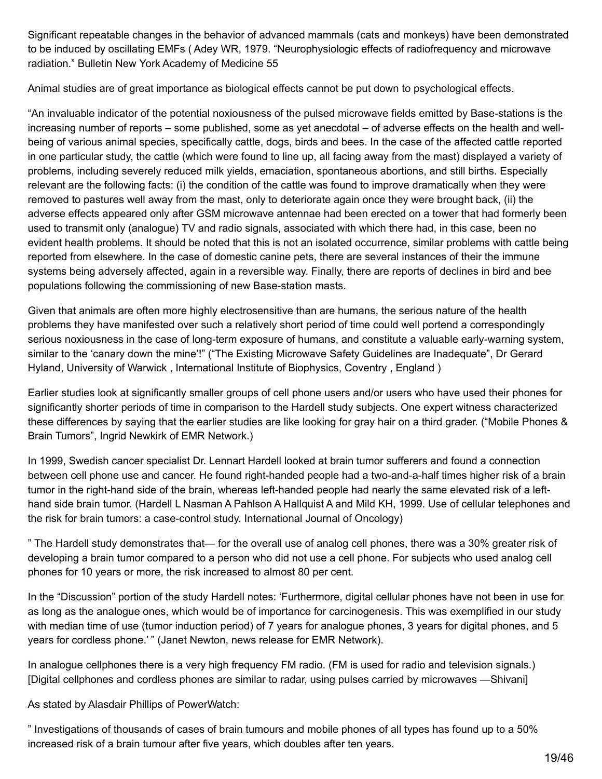Significant repeatable changes in the behavior of advanced mammals (cats and monkeys) have been demonstrated to be induced by oscillating EMFs ( Adey WR, 1979. "Neurophysiologic effects of radiofrequency and microwave radiation." Bulletin New York Academy of Medicine 55

Animal studies are of great importance as biological effects cannot be put down to psychological effects.

"An invaluable indicator of the potential noxiousness of the pulsed microwave fields emitted by Base-stations is the increasing number of reports – some published, some as yet anecdotal – of adverse effects on the health and wellbeing of various animal species, specifically cattle, dogs, birds and bees. In the case of the affected cattle reported in one particular study, the cattle (which were found to line up, all facing away from the mast) displayed a variety of problems, including severely reduced milk yields, emaciation, spontaneous abortions, and still births. Especially relevant are the following facts: (i) the condition of the cattle was found to improve dramatically when they were removed to pastures well away from the mast, only to deteriorate again once they were brought back, (ii) the adverse effects appeared only after GSM microwave antennae had been erected on a tower that had formerly been used to transmit only (analogue) TV and radio signals, associated with which there had, in this case, been no evident health problems. It should be noted that this is not an isolated occurrence, similar problems with cattle being reported from elsewhere. In the case of domestic canine pets, there are several instances of their the immune systems being adversely affected, again in a reversible way. Finally, there are reports of declines in bird and bee populations following the commissioning of new Base-station masts.

Given that animals are often more highly electrosensitive than are humans, the serious nature of the health problems they have manifested over such a relatively short period of time could well portend a correspondingly serious noxiousness in the case of long-term exposure of humans, and constitute a valuable early-warning system, similar to the 'canary down the mine'!" ("The Existing Microwave Safety Guidelines are Inadequate", Dr Gerard Hyland, University of Warwick , International Institute of Biophysics, Coventry , England )

Earlier studies look at significantly smaller groups of cell phone users and/or users who have used their phones for significantly shorter periods of time in comparison to the Hardell study subjects. One expert witness characterized these differences by saying that the earlier studies are like looking for gray hair on a third grader. ("Mobile Phones & Brain Tumors", Ingrid Newkirk of EMR Network.)

In 1999, Swedish cancer specialist Dr. Lennart Hardell looked at brain tumor sufferers and found a connection between cell phone use and cancer. He found right-handed people had a two-and-a-half times higher risk of a brain tumor in the right-hand side of the brain, whereas left-handed people had nearly the same elevated risk of a lefthand side brain tumor. (Hardell L Nasman A Pahlson A Hallquist A and Mild KH, 1999. Use of cellular telephones and the risk for brain tumors: a case-control study. International Journal of Oncology)

" The Hardell study demonstrates that— for the overall use of analog cell phones, there was a 30% greater risk of developing a brain tumor compared to a person who did not use a cell phone. For subjects who used analog cell phones for 10 years or more, the risk increased to almost 80 per cent.

In the "Discussion" portion of the study Hardell notes: 'Furthermore, digital cellular phones have not been in use for as long as the analogue ones, which would be of importance for carcinogenesis. This was exemplified in our study with median time of use (tumor induction period) of 7 years for analogue phones, 3 years for digital phones, and 5 years for cordless phone.'" (Janet Newton, news release for EMR Network).

In analogue cellphones there is a very high frequency FM radio. (FM is used for radio and television signals.) [Digital cellphones and cordless phones are similar to radar, using pulses carried by microwaves —Shivani]

As stated by Alasdair Phillips of PowerWatch:

" Investigations of thousands of cases of brain tumours and mobile phones of all types has found up to a 50% increased risk of a brain tumour after five years, which doubles after ten years.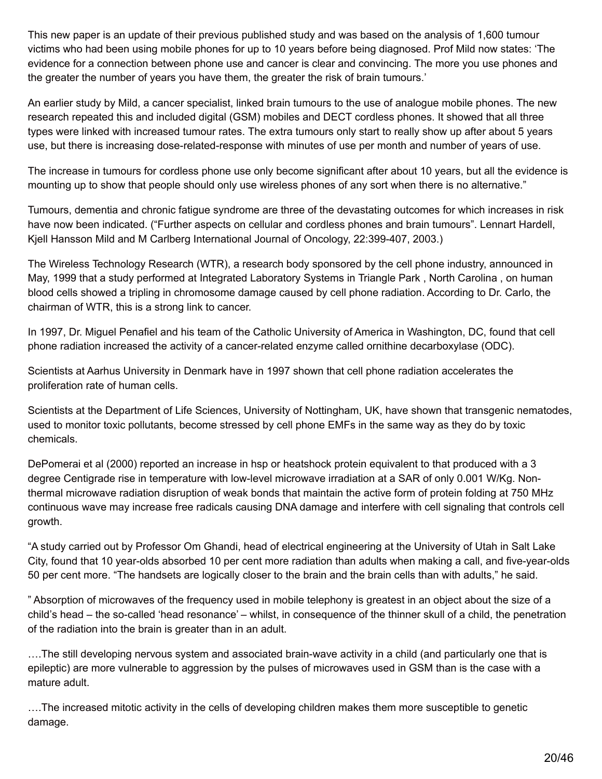This new paper is an update of their previous published study and was based on the analysis of 1,600 tumour victims who had been using mobile phones for up to 10 years before being diagnosed. Prof Mild now states: 'The evidence for a connection between phone use and cancer is clear and convincing. The more you use phones and the greater the number of years you have them, the greater the risk of brain tumours.'

An earlier study by Mild, a cancer specialist, linked brain tumours to the use of analogue mobile phones. The new research repeated this and included digital (GSM) mobiles and DECT cordless phones. It showed that all three types were linked with increased tumour rates. The extra tumours only start to really show up after about 5 years use, but there is increasing dose-related-response with minutes of use per month and number of years of use.

The increase in tumours for cordless phone use only become significant after about 10 years, but all the evidence is mounting up to show that people should only use wireless phones of any sort when there is no alternative."

Tumours, dementia and chronic fatigue syndrome are three of the devastating outcomes for which increases in risk have now been indicated. ("Further aspects on cellular and cordless phones and brain tumours". Lennart Hardell, Kjell Hansson Mild and M Carlberg International Journal of Oncology, 22:399-407, 2003.)

The Wireless Technology Research (WTR), a research body sponsored by the cell phone industry, announced in May, 1999 that a study performed at Integrated Laboratory Systems in Triangle Park , North Carolina , on human blood cells showed a tripling in chromosome damage caused by cell phone radiation. According to Dr. Carlo, the chairman of WTR, this is a strong link to cancer.

In 1997, Dr. Miguel Penafiel and his team of the Catholic University of America in Washington, DC, found that cell phone radiation increased the activity of a cancer-related enzyme called ornithine decarboxylase (ODC).

Scientists at Aarhus University in Denmark have in 1997 shown that cell phone radiation accelerates the proliferation rate of human cells.

Scientists at the Department of Life Sciences, University of Nottingham, UK, have shown that transgenic nematodes, used to monitor toxic pollutants, become stressed by cell phone EMFs in the same way as they do by toxic chemicals.

DePomerai et al (2000) reported an increase in hsp or heatshock protein equivalent to that produced with a 3 degree Centigrade rise in temperature with low-level microwave irradiation at a SAR of only 0.001 W/Kg. Nonthermal microwave radiation disruption of weak bonds that maintain the active form of protein folding at 750 MHz continuous wave may increase free radicals causing DNA damage and interfere with cell signaling that controls cell growth.

"A study carried out by Professor Om Ghandi, head of electrical engineering at the University of Utah in Salt Lake City, found that 10 year-olds absorbed 10 per cent more radiation than adults when making a call, and five-year-olds 50 per cent more. "The handsets are logically closer to the brain and the brain cells than with adults," he said.

" Absorption of microwaves of the frequency used in mobile telephony is greatest in an object about the size of a child's head – the so-called 'head resonance' – whilst, in consequence of the thinner skull of a child, the penetration of the radiation into the brain is greater than in an adult.

….The still developing nervous system and associated brain-wave activity in a child (and particularly one that is epileptic) are more vulnerable to aggression by the pulses of microwaves used in GSM than is the case with a mature adult.

….The increased mitotic activity in the cells of developing children makes them more susceptible to genetic damage.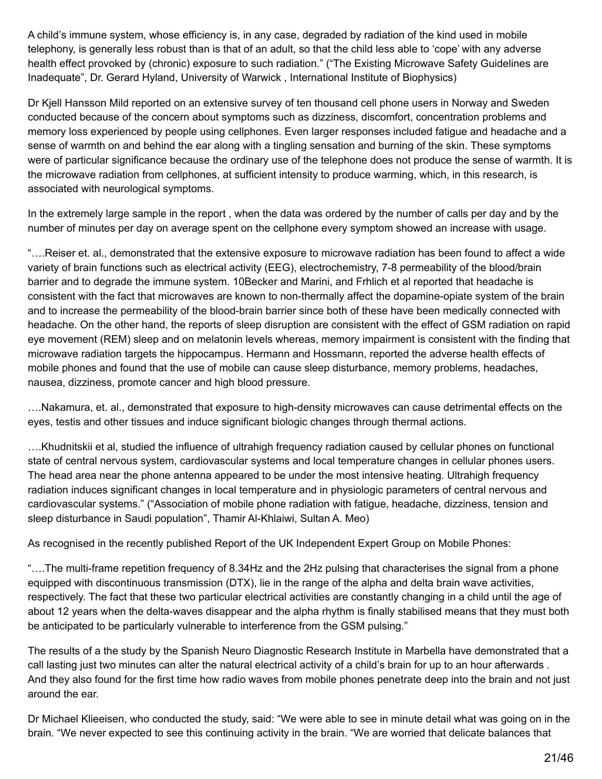A child's immune system, whose efficiency is, in any case, degraded by radiation of the kind used in mobile telephony, is generally less robust than is that of an adult, so that the child less able to 'cope' with any adverse health effect provoked by (chronic) exposure to such radiation." ("The Existing Microwave Safety Guidelines are Inadequate", Dr. Gerard Hyland, University of Warwick , International Institute of Biophysics)

Dr Kjell Hansson Mild reported on an extensive survey of ten thousand cell phone users in Norway and Sweden conducted because of the concern about symptoms such as dizziness, discomfort, concentration problems and memory loss experienced by people using cellphones. Even larger responses included fatigue and headache and a sense of warmth on and behind the ear along with a tingling sensation and burning of the skin. These symptoms were of particular significance because the ordinary use of the telephone does not produce the sense of warmth. It is the microwave radiation from cellphones, at sufficient intensity to produce warming, which, in this research, is associated with neurological symptoms.

In the extremely large sample in the report , when the data was ordered by the number of calls per day and by the number of minutes per day on average spent on the cellphone every symptom showed an increase with usage.

"….Reiser et. al., demonstrated that the extensive exposure to microwave radiation has been found to affect a wide variety of brain functions such as electrical activity (EEG), electrochemistry, 7-8 permeability of the blood/brain barrier and to degrade the immune system. 10Becker and Marini, and Frhlich et al reported that headache is consistent with the fact that microwaves are known to non-thermally affect the dopamine-opiate system of the brain and to increase the permeability of the blood-brain barrier since both of these have been medically connected with headache. On the other hand, the reports of sleep disruption are consistent with the effect of GSM radiation on rapid eye movement (REM) sleep and on melatonin levels whereas, memory impairment is consistent with the finding that microwave radiation targets the hippocampus. Hermann and Hossmann, reported the adverse health effects of mobile phones and found that the use of mobile can cause sleep disturbance, memory problems, headaches, nausea, dizziness, promote cancer and high blood pressure.

….Nakamura, et. al., demonstrated that exposure to high-density microwaves can cause detrimental effects on the eyes, testis and other tissues and induce significant biologic changes through thermal actions.

….Khudnitskii et al, studied the influence of ultrahigh frequency radiation caused by cellular phones on functional state of central nervous system, cardiovascular systems and local temperature changes in cellular phones users. The head area near the phone antenna appeared to be under the most intensive heating. Ultrahigh frequency radiation induces significant changes in local temperature and in physiologic parameters of central nervous and cardiovascular systems." ("Association of mobile phone radiation with fatigue, headache, dizziness, tension and sleep disturbance in Saudi population", Thamir Al-Khlaiwi, Sultan A. Meo)

As recognised in the recently published Report of the UK Independent Expert Group on Mobile Phones:

"….The multi-frame repetition frequency of 8.34Hz and the 2Hz pulsing that characterises the signal from a phone equipped with discontinuous transmission (DTX), lie in the range of the alpha and delta brain wave activities, respectively. The fact that these two particular electrical activities are constantly changing in a child until the age of about 12 years when the delta-waves disappear and the alpha rhythm is finally stabilised means that they must both be anticipated to be particularly vulnerable to interference from the GSM pulsing."

The results of a the study by the Spanish Neuro Diagnostic Research Institute in Marbella have demonstrated that a call lasting just two minutes can alter the natural electrical activity of a child's brain for up to an hour afterwards . And they also found for the first time how radio waves from mobile phones penetrate deep into the brain and not just around the ear.

Dr Michael Klieeisen, who conducted the study, said: "We were able to see in minute detail what was going on in the brain. "We never expected to see this continuing activity in the brain. "We are worried that delicate balances that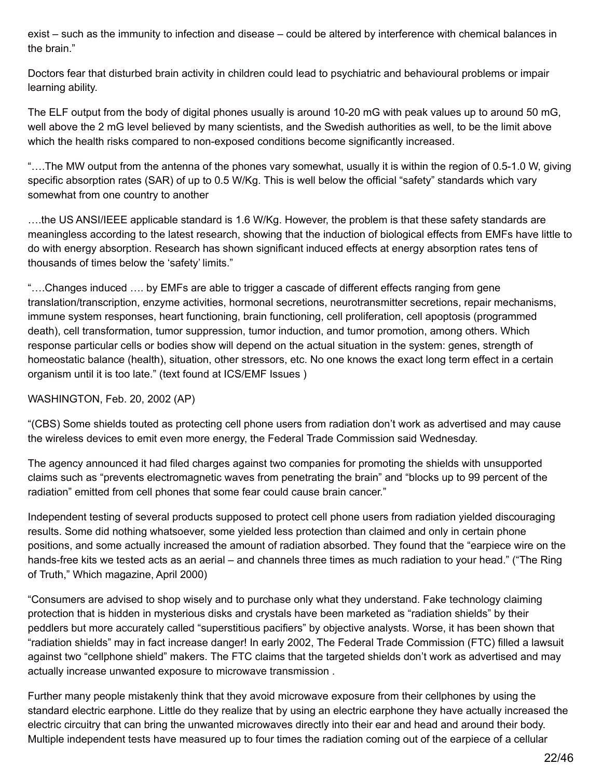exist – such as the immunity to infection and disease – could be altered by interference with chemical balances in the brain."

Doctors fear that disturbed brain activity in children could lead to psychiatric and behavioural problems or impair learning ability.

The ELF output from the body of digital phones usually is around 10-20 mG with peak values up to around 50 mG, well above the 2 mG level believed by many scientists, and the Swedish authorities as well, to be the limit above which the health risks compared to non-exposed conditions become significantly increased.

"….The MW output from the antenna of the phones vary somewhat, usually it is within the region of 0.5-1.0 W, giving specific absorption rates (SAR) of up to 0.5 W/Kg. This is well below the official "safety" standards which vary somewhat from one country to another

….the US ANSI/IEEE applicable standard is 1.6 W/Kg. However, the problem is that these safety standards are meaningless according to the latest research, showing that the induction of biological effects from EMFs have little to do with energy absorption. Research has shown significant induced effects at energy absorption rates tens of thousands of times below the 'safety' limits."

"….Changes induced …. by EMFs are able to trigger a cascade of different effects ranging from gene translation/transcription, enzyme activities, hormonal secretions, neurotransmitter secretions, repair mechanisms, immune system responses, heart functioning, brain functioning, cell proliferation, cell apoptosis (programmed death), cell transformation, tumor suppression, tumor induction, and tumor promotion, among others. Which response particular cells or bodies show will depend on the actual situation in the system: genes, strength of homeostatic balance (health), situation, other stressors, etc. No one knows the exact long term effect in a certain organism until it is too late." (text found at ICS/EMF Issues )

### WASHINGTON, Feb. 20, 2002 (AP)

"(CBS) Some shields touted as protecting cell phone users from radiation don't work as advertised and may cause the wireless devices to emit even more energy, the Federal Trade Commission said Wednesday.

The agency announced it had filed charges against two companies for promoting the shields with unsupported claims such as "prevents electromagnetic waves from penetrating the brain" and "blocks up to 99 percent of the radiation" emitted from cell phones that some fear could cause brain cancer."

Independent testing of several products supposed to protect cell phone users from radiation yielded discouraging results. Some did nothing whatsoever, some yielded less protection than claimed and only in certain phone positions, and some actually increased the amount of radiation absorbed. They found that the "earpiece wire on the hands-free kits we tested acts as an aerial – and channels three times as much radiation to your head." ("The Ring of Truth," Which magazine, April 2000)

"Consumers are advised to shop wisely and to purchase only what they understand. Fake technology claiming protection that is hidden in mysterious disks and crystals have been marketed as "radiation shields" by their peddlers but more accurately called "superstitious pacifiers" by objective analysts. Worse, it has been shown that "radiation shields" may in fact increase danger! In early 2002, The Federal Trade Commission (FTC) filled a lawsuit against two "cellphone shield" makers. The FTC claims that the targeted shields don't work as advertised and may actually increase unwanted exposure to microwave transmission .

Further many people mistakenly think that they avoid microwave exposure from their cellphones by using the standard electric earphone. Little do they realize that by using an electric earphone they have actually increased the electric circuitry that can bring the unwanted microwaves directly into their ear and head and around their body. Multiple independent tests have measured up to four times the radiation coming out of the earpiece of a cellular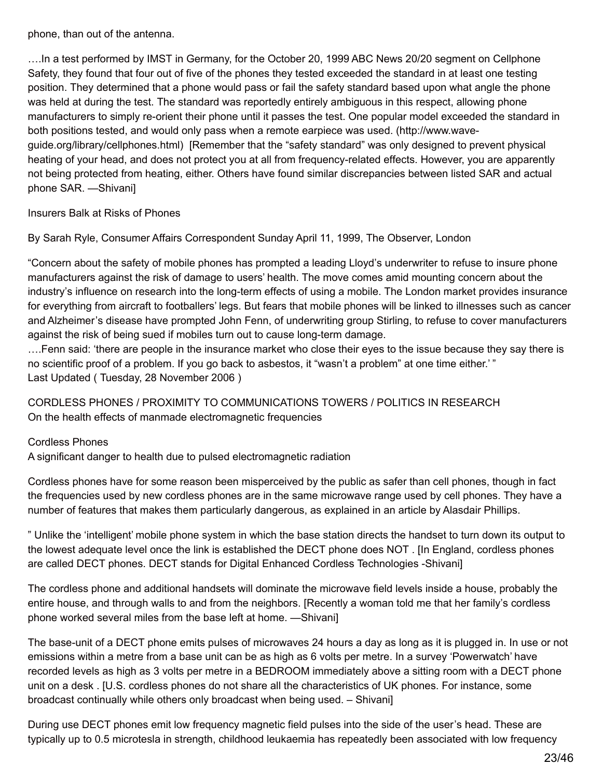phone, than out of the antenna.

….In a test performed by IMST in Germany, for the October 20, 1999 ABC News 20/20 segment on Cellphone Safety, they found that four out of five of the phones they tested exceeded the standard in at least one testing position. They determined that a phone would pass or fail the safety standard based upon what angle the phone was held at during the test. The standard was reportedly entirely ambiguous in this respect, allowing phone manufacturers to simply re-orient their phone until it passes the test. One popular model exceeded the standard in both positions tested, and would only pass when a remote earpiece was used. (http://www.waveguide.org/library/cellphones.html) [Remember that the "safety standard" was only designed to prevent physical heating of your head, and does not protect you at all from frequency-related effects. However, you are apparently not being protected from heating, either. Others have found similar discrepancies between listed SAR and actual phone SAR. —Shivani]

Insurers Balk at Risks of Phones

By Sarah Ryle, Consumer Affairs Correspondent Sunday April 11, 1999, The Observer, London

"Concern about the safety of mobile phones has prompted a leading Lloyd's underwriter to refuse to insure phone manufacturers against the risk of damage to users' health. The move comes amid mounting concern about the industry's influence on research into the long-term effects of using a mobile. The London market provides insurance for everything from aircraft to footballers' legs. But fears that mobile phones will be linked to illnesses such as cancer and Alzheimer's disease have prompted John Fenn, of underwriting group Stirling, to refuse to cover manufacturers against the risk of being sued if mobiles turn out to cause long-term damage.

….Fenn said: 'there are people in the insurance market who close their eyes to the issue because they say there is no scientific proof of a problem. If you go back to asbestos, it "wasn't a problem" at one time either.' " Last Updated ( Tuesday, 28 November 2006 )

CORDLESS PHONES / PROXIMITY TO COMMUNICATIONS TOWERS / POLITICS IN RESEARCH On the health effects of manmade electromagnetic frequencies

### Cordless Phones

A significant danger to health due to pulsed electromagnetic radiation

Cordless phones have for some reason been misperceived by the public as safer than cell phones, though in fact the frequencies used by new cordless phones are in the same microwave range used by cell phones. They have a number of features that makes them particularly dangerous, as explained in an article by Alasdair Phillips.

" Unlike the 'intelligent' mobile phone system in which the base station directs the handset to turn down its output to the lowest adequate level once the link is established the DECT phone does NOT . [In England, cordless phones are called DECT phones. DECT stands for Digital Enhanced Cordless Technologies -Shivani]

The cordless phone and additional handsets will dominate the microwave field levels inside a house, probably the entire house, and through walls to and from the neighbors. [Recently a woman told me that her family's cordless phone worked several miles from the base left at home. —Shivani]

The base-unit of a DECT phone emits pulses of microwaves 24 hours a day as long as it is plugged in. In use or not emissions within a metre from a base unit can be as high as 6 volts per metre. In a survey 'Powerwatch' have recorded levels as high as 3 volts per metre in a BEDROOM immediately above a sitting room with a DECT phone unit on a desk . [U.S. cordless phones do not share all the characteristics of UK phones. For instance, some broadcast continually while others only broadcast when being used. – Shivani]

During use DECT phones emit low frequency magnetic field pulses into the side of the user's head. These are typically up to 0.5 microtesla in strength, childhood leukaemia has repeatedly been associated with low frequency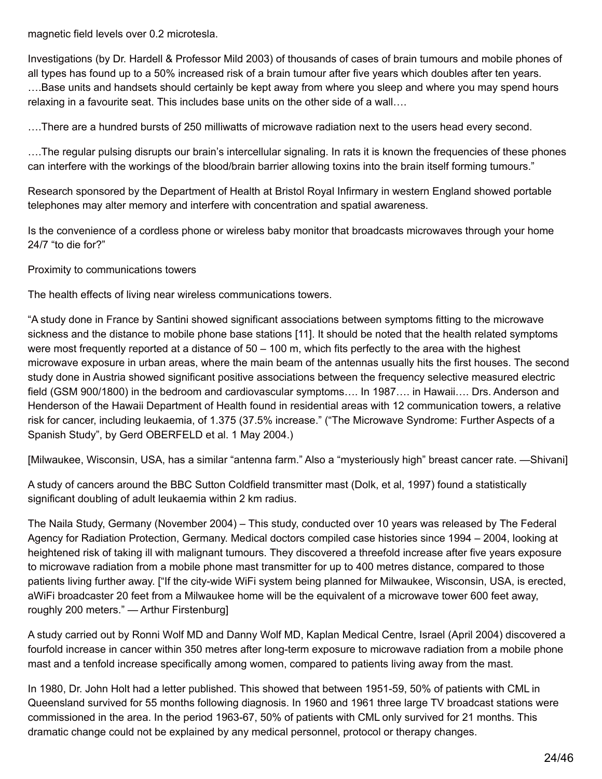magnetic field levels over 0.2 microtesla.

Investigations (by Dr. Hardell & Professor Mild 2003) of thousands of cases of brain tumours and mobile phones of all types has found up to a 50% increased risk of a brain tumour after five years which doubles after ten years.

….Base units and handsets should certainly be kept away from where you sleep and where you may spend hours relaxing in a favourite seat. This includes base units on the other side of a wall….

….There are a hundred bursts of 250 milliwatts of microwave radiation next to the users head every second.

….The regular pulsing disrupts our brain's intercellular signaling. In rats it is known the frequencies of these phones can interfere with the workings of the blood/brain barrier allowing toxins into the brain itself forming tumours."

Research sponsored by the Department of Health at Bristol Royal Infirmary in western England showed portable telephones may alter memory and interfere with concentration and spatial awareness.

Is the convenience of a cordless phone or wireless baby monitor that broadcasts microwaves through your home 24/7 "to die for?"

Proximity to communications towers

The health effects of living near wireless communications towers.

"A study done in France by Santini showed significant associations between symptoms fitting to the microwave sickness and the distance to mobile phone base stations [11]. It should be noted that the health related symptoms were most frequently reported at a distance of  $50 - 100$  m, which fits perfectly to the area with the highest microwave exposure in urban areas, where the main beam of the antennas usually hits the first houses. The second study done in Austria showed significant positive associations between the frequency selective measured electric field (GSM 900/1800) in the bedroom and cardiovascular symptoms…. In 1987…. in Hawaii…. Drs. Anderson and Henderson of the Hawaii Department of Health found in residential areas with 12 communication towers, a relative risk for cancer, including leukaemia, of 1.375 (37.5% increase." ("The Microwave Syndrome: Further Aspects of a Spanish Study", by Gerd OBERFELD et al. 1 May 2004.)

[Milwaukee, Wisconsin, USA, has a similar "antenna farm." Also a "mysteriously high" breast cancer rate. —Shivani]

A study of cancers around the BBC Sutton Coldfield transmitter mast (Dolk, et al, 1997) found a statistically significant doubling of adult leukaemia within 2 km radius.

The Naila Study, Germany (November 2004) – This study, conducted over 10 years was released by The Federal Agency for Radiation Protection, Germany. Medical doctors compiled case histories since 1994 – 2004, looking at heightened risk of taking ill with malignant tumours. They discovered a threefold increase after five years exposure to microwave radiation from a mobile phone mast transmitter for up to 400 metres distance, compared to those patients living further away. ["If the city-wide WiFi system being planned for Milwaukee, Wisconsin, USA, is erected, aWiFi broadcaster 20 feet from a Milwaukee home will be the equivalent of a microwave tower 600 feet away, roughly 200 meters." — Arthur Firstenburg]

A study carried out by Ronni Wolf MD and Danny Wolf MD, Kaplan Medical Centre, Israel (April 2004) discovered a fourfold increase in cancer within 350 metres after long-term exposure to microwave radiation from a mobile phone mast and a tenfold increase specifically among women, compared to patients living away from the mast.

In 1980, Dr. John Holt had a letter published. This showed that between 1951-59, 50% of patients with CML in Queensland survived for 55 months following diagnosis. In 1960 and 1961 three large TV broadcast stations were commissioned in the area. In the period 1963-67, 50% of patients with CML only survived for 21 months. This dramatic change could not be explained by any medical personnel, protocol or therapy changes.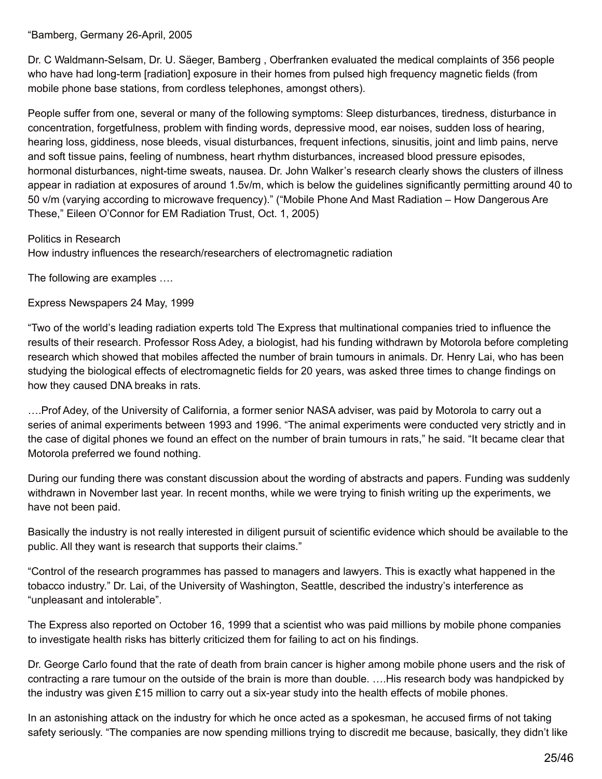"Bamberg, Germany 26-April, 2005

Dr. C Waldmann-Selsam, Dr. U. Säeger, Bamberg , Oberfranken evaluated the medical complaints of 356 people who have had long-term [radiation] exposure in their homes from pulsed high frequency magnetic fields (from mobile phone base stations, from cordless telephones, amongst others).

People suffer from one, several or many of the following symptoms: Sleep disturbances, tiredness, disturbance in concentration, forgetfulness, problem with finding words, depressive mood, ear noises, sudden loss of hearing, hearing loss, giddiness, nose bleeds, visual disturbances, frequent infections, sinusitis, joint and limb pains, nerve and soft tissue pains, feeling of numbness, heart rhythm disturbances, increased blood pressure episodes, hormonal disturbances, night-time sweats, nausea. Dr. John Walker's research clearly shows the clusters of illness appear in radiation at exposures of around 1.5v/m, which is below the guidelines significantly permitting around 40 to 50 v/m (varying according to microwave frequency)." ("Mobile Phone And Mast Radiation – How Dangerous Are These," Eileen O'Connor for EM Radiation Trust, Oct. 1, 2005)

Politics in Research

How industry influences the research/researchers of electromagnetic radiation

The following are examples ….

Express Newspapers 24 May, 1999

"Two of the world's leading radiation experts told The Express that multinational companies tried to influence the results of their research. Professor Ross Adey, a biologist, had his funding withdrawn by Motorola before completing research which showed that mobiles affected the number of brain tumours in animals. Dr. Henry Lai, who has been studying the biological effects of electromagnetic fields for 20 years, was asked three times to change findings on how they caused DNA breaks in rats.

….Prof Adey, of the University of California, a former senior NASA adviser, was paid by Motorola to carry out a series of animal experiments between 1993 and 1996. "The animal experiments were conducted very strictly and in the case of digital phones we found an effect on the number of brain tumours in rats," he said. "It became clear that Motorola preferred we found nothing.

During our funding there was constant discussion about the wording of abstracts and papers. Funding was suddenly withdrawn in November last year. In recent months, while we were trying to finish writing up the experiments, we have not been paid.

Basically the industry is not really interested in diligent pursuit of scientific evidence which should be available to the public. All they want is research that supports their claims."

"Control of the research programmes has passed to managers and lawyers. This is exactly what happened in the tobacco industry." Dr. Lai, of the University of Washington, Seattle, described the industry's interference as "unpleasant and intolerable".

The Express also reported on October 16, 1999 that a scientist who was paid millions by mobile phone companies to investigate health risks has bitterly criticized them for failing to act on his findings.

Dr. George Carlo found that the rate of death from brain cancer is higher among mobile phone users and the risk of contracting a rare tumour on the outside of the brain is more than double. ….His research body was handpicked by the industry was given £15 million to carry out a six-year study into the health effects of mobile phones.

In an astonishing attack on the industry for which he once acted as a spokesman, he accused firms of not taking safety seriously. "The companies are now spending millions trying to discredit me because, basically, they didn't like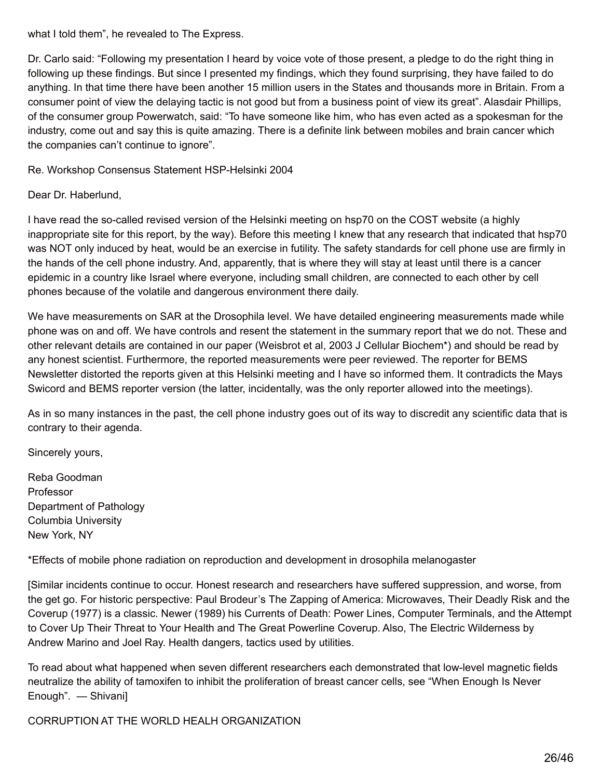what I told them", he revealed to The Express.

Dr. Carlo said: "Following my presentation I heard by voice vote of those present, a pledge to do the right thing in following up these findings. But since I presented my findings, which they found surprising, they have failed to do anything. In that time there have been another 15 million users in the States and thousands more in Britain. From a consumer point of view the delaying tactic is not good but from a business point of view its great". Alasdair Phillips, of the consumer group Powerwatch, said: "To have someone like him, who has even acted as a spokesman for the industry, come out and say this is quite amazing. There is a definite link between mobiles and brain cancer which the companies can't continue to ignore".

Re. Workshop Consensus Statement HSP-Helsinki 2004

Dear Dr. Haberlund,

I have read the so-called revised version of the Helsinki meeting on hsp70 on the COST website (a highly inappropriate site for this report, by the way). Before this meeting I knew that any research that indicated that hsp70 was NOT only induced by heat, would be an exercise in futility. The safety standards for cell phone use are firmly in the hands of the cell phone industry. And, apparently, that is where they will stay at least until there is a cancer epidemic in a country like Israel where everyone, including small children, are connected to each other by cell phones because of the volatile and dangerous environment there daily.

We have measurements on SAR at the Drosophila level. We have detailed engineering measurements made while phone was on and off. We have controls and resent the statement in the summary report that we do not. These and other relevant details are contained in our paper (Weisbrot et al, 2003 J Cellular Biochem\*) and should be read by any honest scientist. Furthermore, the reported measurements were peer reviewed. The reporter for BEMS Newsletter distorted the reports given at this Helsinki meeting and I have so informed them. It contradicts the Mays Swicord and BEMS reporter version (the latter, incidentally, was the only reporter allowed into the meetings).

As in so many instances in the past, the cell phone industry goes out of its way to discredit any scientific data that is contrary to their agenda.

Sincerely yours,

Reba Goodman Professor Department of Pathology Columbia University New York, NY

\*Effects of mobile phone radiation on reproduction and development in drosophila melanogaster

[Similar incidents continue to occur. Honest research and researchers have suffered suppression, and worse, from the get go. For historic perspective: Paul Brodeur's The Zapping of America: Microwaves, Their Deadly Risk and the Coverup (1977) is a classic. Newer (1989) his Currents of Death: Power Lines, Computer Terminals, and the Attempt to Cover Up Their Threat to Your Health and The Great Powerline Coverup. Also, The Electric Wilderness by Andrew Marino and Joel Ray. Health dangers, tactics used by utilities.

To read about what happened when seven different researchers each demonstrated that low-level magnetic fields neutralize the ability of tamoxifen to inhibit the proliferation of breast cancer cells, see "When Enough Is Never Enough". — Shivani]

CORRUPTION AT THE WORLD HEALH ORGANIZATION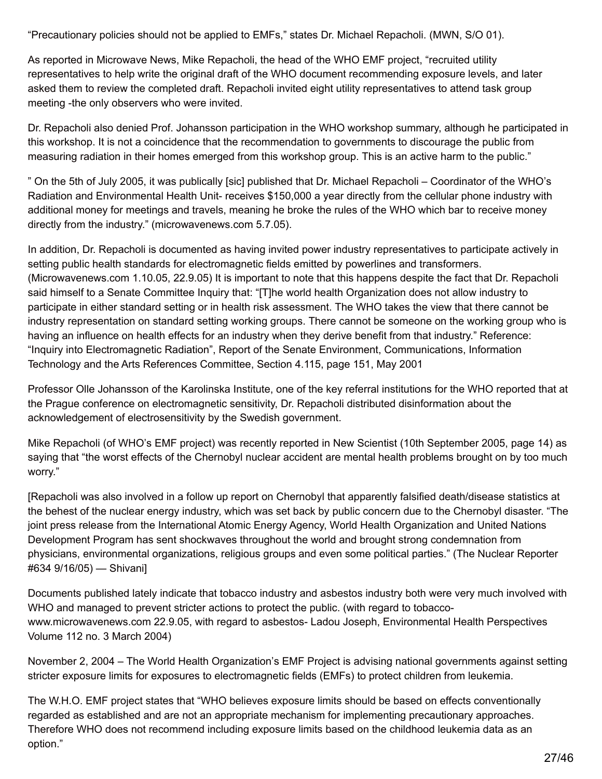"Precautionary policies should not be applied to EMFs," states Dr. Michael Repacholi. (MWN, S/O 01).

As reported in Microwave News, Mike Repacholi, the head of the WHO EMF project, "recruited utility representatives to help write the original draft of the WHO document recommending exposure levels, and later asked them to review the completed draft. Repacholi invited eight utility representatives to attend task group meeting -the only observers who were invited.

Dr. Repacholi also denied Prof. Johansson participation in the WHO workshop summary, although he participated in this workshop. It is not a coincidence that the recommendation to governments to discourage the public from measuring radiation in their homes emerged from this workshop group. This is an active harm to the public."

" On the 5th of July 2005, it was publically [sic] published that Dr. Michael Repacholi – Coordinator of the WHO's Radiation and Environmental Health Unit- receives \$150,000 a year directly from the cellular phone industry with additional money for meetings and travels, meaning he broke the rules of the WHO which bar to receive money directly from the industry." (microwavenews.com 5.7.05).

In addition, Dr. Repacholi is documented as having invited power industry representatives to participate actively in setting public health standards for electromagnetic fields emitted by powerlines and transformers. (Microwavenews.com 1.10.05, 22.9.05) It is important to note that this happens despite the fact that Dr. Repacholi said himself to a Senate Committee Inquiry that: "[T]he world health Organization does not allow industry to participate in either standard setting or in health risk assessment. The WHO takes the view that there cannot be industry representation on standard setting working groups. There cannot be someone on the working group who is having an influence on health effects for an industry when they derive benefit from that industry." Reference: "Inquiry into Electromagnetic Radiation", Report of the Senate Environment, Communications, Information Technology and the Arts References Committee, Section 4.115, page 151, May 2001

Professor Olle Johansson of the Karolinska Institute, one of the key referral institutions for the WHO reported that at the Prague conference on electromagnetic sensitivity, Dr. Repacholi distributed disinformation about the acknowledgement of electrosensitivity by the Swedish government.

Mike Repacholi (of WHO's EMF project) was recently reported in New Scientist (10th September 2005, page 14) as saying that "the worst effects of the Chernobyl nuclear accident are mental health problems brought on by too much worry."

[Repacholi was also involved in a follow up report on Chernobyl that apparently falsified death/disease statistics at the behest of the nuclear energy industry, which was set back by public concern due to the Chernobyl disaster. "The joint press release from the International Atomic Energy Agency, World Health Organization and United Nations Development Program has sent shockwaves throughout the world and brought strong condemnation from physicians, environmental organizations, religious groups and even some political parties." (The Nuclear Reporter #634 9/16/05) — Shivani]

Documents published lately indicate that tobacco industry and asbestos industry both were very much involved with WHO and managed to prevent stricter actions to protect the public. (with regard to tobaccowww.microwavenews.com 22.9.05, with regard to asbestos- Ladou Joseph, Environmental Health Perspectives Volume 112 no. 3 March 2004)

November 2, 2004 – The World Health Organization's EMF Project is advising national governments against setting stricter exposure limits for exposures to electromagnetic fields (EMFs) to protect children from leukemia.

The W.H.O. EMF project states that "WHO believes exposure limits should be based on effects conventionally regarded as established and are not an appropriate mechanism for implementing precautionary approaches. Therefore WHO does not recommend including exposure limits based on the childhood leukemia data as an option."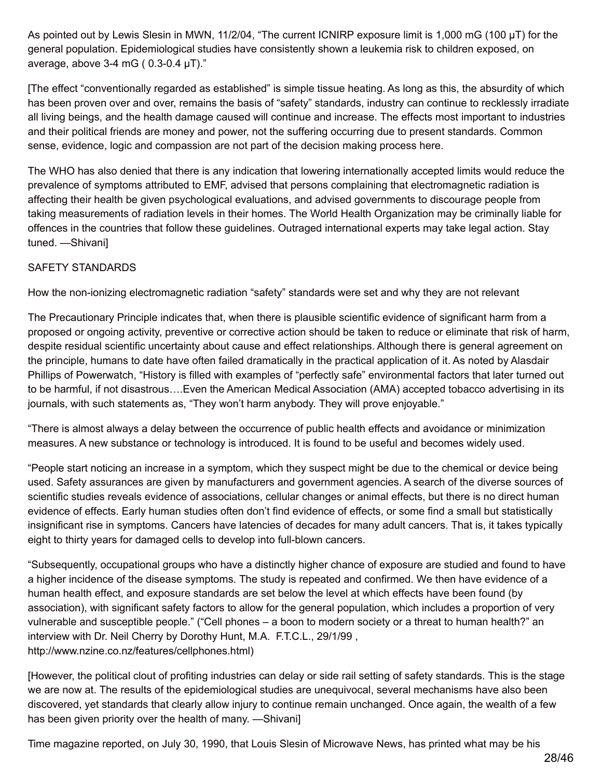As pointed out by Lewis Slesin in MWN, 11/2/04, "The current ICNIRP exposure limit is 1,000 mG (100 µT) for the general population. Epidemiological studies have consistently shown a leukemia risk to children exposed, on average, above 3-4 mG ( $0.3$ -0.4  $\mu$ T)."

[The effect "conventionally regarded as established" is simple tissue heating. As long as this, the absurdity of which has been proven over and over, remains the basis of "safety" standards, industry can continue to recklessly irradiate all living beings, and the health damage caused will continue and increase. The effects most important to industries and their political friends are money and power, not the suffering occurring due to present standards. Common sense, evidence, logic and compassion are not part of the decision making process here.

The WHO has also denied that there is any indication that lowering internationally accepted limits would reduce the prevalence of symptoms attributed to EMF, advised that persons complaining that electromagnetic radiation is affecting their health be given psychological evaluations, and advised governments to discourage people from taking measurements of radiation levels in their homes. The World Health Organization may be criminally liable for offences in the countries that follow these guidelines. Outraged international experts may take legal action. Stay tuned. —Shivani]

### SAFETY STANDARDS

How the non-ionizing electromagnetic radiation "safety" standards were set and why they are not relevant

The Precautionary Principle indicates that, when there is plausible scientific evidence of significant harm from a proposed or ongoing activity, preventive or corrective action should be taken to reduce or eliminate that risk of harm, despite residual scientific uncertainty about cause and effect relationships. Although there is general agreement on the principle, humans to date have often failed dramatically in the practical application of it. As noted by Alasdair Phillips of Powerwatch, "History is filled with examples of "perfectly safe" environmental factors that later turned out to be harmful, if not disastrous….Even the American Medical Association (AMA) accepted tobacco advertising in its journals, with such statements as, "They won't harm anybody. They will prove enjoyable."

"There is almost always a delay between the occurrence of public health effects and avoidance or minimization measures. A new substance or technology is introduced. It is found to be useful and becomes widely used.

"People start noticing an increase in a symptom, which they suspect might be due to the chemical or device being used. Safety assurances are given by manufacturers and government agencies. A search of the diverse sources of scientific studies reveals evidence of associations, cellular changes or animal effects, but there is no direct human evidence of effects. Early human studies often don't find evidence of effects, or some find a small but statistically insignificant rise in symptoms. Cancers have latencies of decades for many adult cancers. That is, it takes typically eight to thirty years for damaged cells to develop into full-blown cancers.

"Subsequently, occupational groups who have a distinctly higher chance of exposure are studied and found to have a higher incidence of the disease symptoms. The study is repeated and confirmed. We then have evidence of a human health effect, and exposure standards are set below the level at which effects have been found (by association), with significant safety factors to allow for the general population, which includes a proportion of very vulnerable and susceptible people." ("Cell phones – a boon to modern society or a threat to human health?" an interview with Dr. Neil Cherry by Dorothy Hunt, M.A. F.T.C.L., 29/1/99 , http://www.nzine.co.nz/features/cellphones.html)

[However, the political clout of profiting industries can delay or side rail setting of safety standards. This is the stage we are now at. The results of the epidemiological studies are unequivocal, several mechanisms have also been discovered, yet standards that clearly allow injury to continue remain unchanged. Once again, the wealth of a few has been given priority over the health of many. —Shivani]

Time magazine reported, on July 30, 1990, that Louis Slesin of Microwave News, has printed what may be his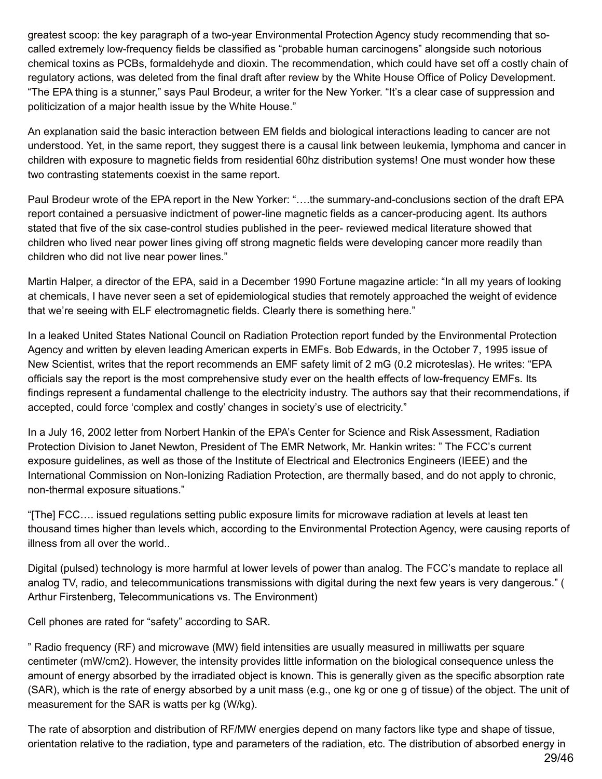greatest scoop: the key paragraph of a two-year Environmental Protection Agency study recommending that socalled extremely low-frequency fields be classified as "probable human carcinogens" alongside such notorious chemical toxins as PCBs, formaldehyde and dioxin. The recommendation, which could have set off a costly chain of regulatory actions, was deleted from the final draft after review by the White House Office of Policy Development. "The EPA thing is a stunner," says Paul Brodeur, a writer for the New Yorker. "It's a clear case of suppression and politicization of a major health issue by the White House."

An explanation said the basic interaction between EM fields and biological interactions leading to cancer are not understood. Yet, in the same report, they suggest there is a causal link between leukemia, lymphoma and cancer in children with exposure to magnetic fields from residential 60hz distribution systems! One must wonder how these two contrasting statements coexist in the same report.

Paul Brodeur wrote of the EPA report in the New Yorker: "….the summary-and-conclusions section of the draft EPA report contained a persuasive indictment of power-line magnetic fields as a cancer-producing agent. Its authors stated that five of the six case-control studies published in the peer- reviewed medical literature showed that children who lived near power lines giving off strong magnetic fields were developing cancer more readily than children who did not live near power lines."

Martin Halper, a director of the EPA, said in a December 1990 Fortune magazine article: "In all my years of looking at chemicals, I have never seen a set of epidemiological studies that remotely approached the weight of evidence that we're seeing with ELF electromagnetic fields. Clearly there is something here."

In a leaked United States National Council on Radiation Protection report funded by the Environmental Protection Agency and written by eleven leading American experts in EMFs. Bob Edwards, in the October 7, 1995 issue of New Scientist, writes that the report recommends an EMF safety limit of 2 mG (0.2 microteslas). He writes: "EPA officials say the report is the most comprehensive study ever on the health effects of low-frequency EMFs. Its findings represent a fundamental challenge to the electricity industry. The authors say that their recommendations, if accepted, could force 'complex and costly' changes in society's use of electricity."

In a July 16, 2002 letter from Norbert Hankin of the EPA's Center for Science and Risk Assessment, Radiation Protection Division to Janet Newton, President of The EMR Network, Mr. Hankin writes: " The FCC's current exposure guidelines, as well as those of the Institute of Electrical and Electronics Engineers (IEEE) and the International Commission on Non-Ionizing Radiation Protection, are thermally based, and do not apply to chronic, non-thermal exposure situations."

"[The] FCC…. issued regulations setting public exposure limits for microwave radiation at levels at least ten thousand times higher than levels which, according to the Environmental Protection Agency, were causing reports of illness from all over the world..

Digital (pulsed) technology is more harmful at lower levels of power than analog. The FCC's mandate to replace all analog TV, radio, and telecommunications transmissions with digital during the next few years is very dangerous." ( Arthur Firstenberg, Telecommunications vs. The Environment)

Cell phones are rated for "safety" according to SAR.

" Radio frequency (RF) and microwave (MW) field intensities are usually measured in milliwatts per square centimeter (mW/cm2). However, the intensity provides little information on the biological consequence unless the amount of energy absorbed by the irradiated object is known. This is generally given as the specific absorption rate (SAR), which is the rate of energy absorbed by a unit mass (e.g., one kg or one g of tissue) of the object. The unit of measurement for the SAR is watts per kg (W/kg).

The rate of absorption and distribution of RF/MW energies depend on many factors like type and shape of tissue, orientation relative to the radiation, type and parameters of the radiation, etc. The distribution of absorbed energy in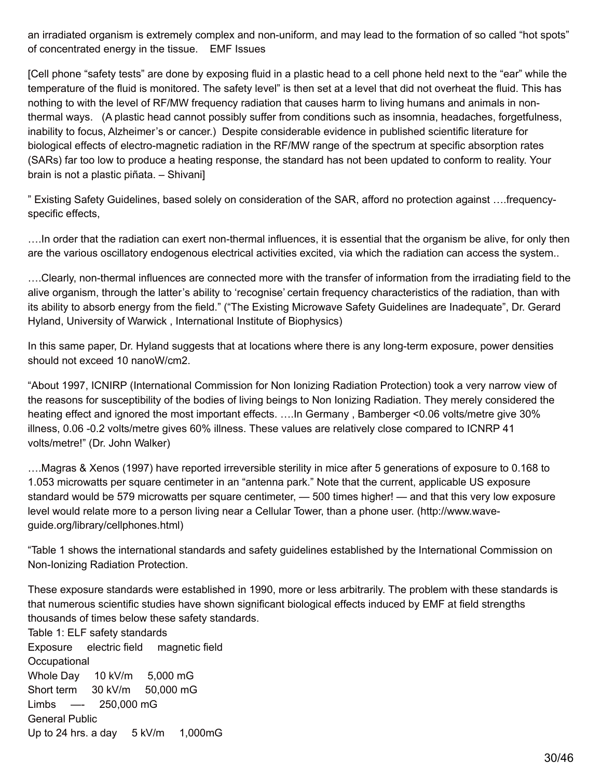an irradiated organism is extremely complex and non-uniform, and may lead to the formation of so called "hot spots" of concentrated energy in the tissue. EMF Issues

[Cell phone "safety tests" are done by exposing fluid in a plastic head to a cell phone held next to the "ear" while the temperature of the fluid is monitored. The safety level" is then set at a level that did not overheat the fluid. This has nothing to with the level of RF/MW frequency radiation that causes harm to living humans and animals in nonthermal ways. (A plastic head cannot possibly suffer from conditions such as insomnia, headaches, forgetfulness, inability to focus, Alzheimer's or cancer.) Despite considerable evidence in published scientific literature for biological effects of electro-magnetic radiation in the RF/MW range of the spectrum at specific absorption rates (SARs) far too low to produce a heating response, the standard has not been updated to conform to reality. Your brain is not a plastic piñata. – Shivani]

" Existing Safety Guidelines, based solely on consideration of the SAR, afford no protection against ….frequencyspecific effects,

….In order that the radiation can exert non-thermal influences, it is essential that the organism be alive, for only then are the various oscillatory endogenous electrical activities excited, via which the radiation can access the system..

….Clearly, non-thermal influences are connected more with the transfer of information from the irradiating field to the alive organism, through the latter's ability to 'recognise' certain frequency characteristics of the radiation, than with its ability to absorb energy from the field." ("The Existing Microwave Safety Guidelines are Inadequate", Dr. Gerard Hyland, University of Warwick , International Institute of Biophysics)

In this same paper, Dr. Hyland suggests that at locations where there is any long-term exposure, power densities should not exceed 10 nanoW/cm2.

"About 1997, ICNIRP (International Commission for Non Ionizing Radiation Protection) took a very narrow view of the reasons for susceptibility of the bodies of living beings to Non Ionizing Radiation. They merely considered the heating effect and ignored the most important effects. ….In Germany , Bamberger <0.06 volts/metre give 30% illness, 0.06 -0.2 volts/metre gives 60% illness. These values are relatively close compared to ICNRP 41 volts/metre!" (Dr. John Walker)

….Magras & Xenos (1997) have reported irreversible sterility in mice after 5 generations of exposure to 0.168 to 1.053 microwatts per square centimeter in an "antenna park." Note that the current, applicable US exposure standard would be 579 microwatts per square centimeter, — 500 times higher! — and that this very low exposure level would relate more to a person living near a Cellular Tower, than a phone user. (http://www.waveguide.org/library/cellphones.html)

"Table 1 shows the international standards and safety guidelines established by the International Commission on Non-Ionizing Radiation Protection.

These exposure standards were established in 1990, more or less arbitrarily. The problem with these standards is that numerous scientific studies have shown significant biological effects induced by EMF at field strengths thousands of times below these safety standards.

Table 1: ELF safety standards Exposure electric field magnetic field **Occupational** Whole Day 10 kV/m 5,000 mG Short term 30 kV/m 50,000 mG Limbs —- 250,000 mG General Public Up to 24 hrs. a day 5 kV/m 1,000 mG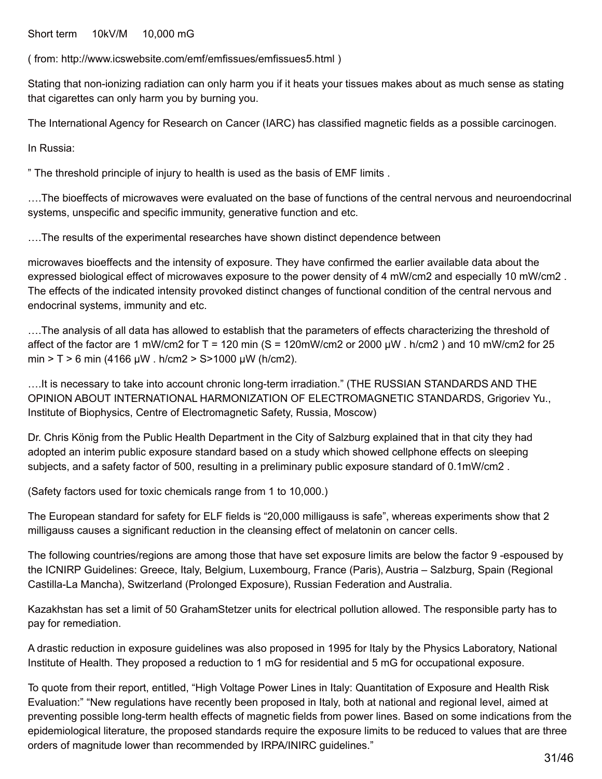Short term 10kV/M 10,000 mG

( from: http://www.icswebsite.com/emf/emfissues/emfissues5.html )

Stating that non-ionizing radiation can only harm you if it heats your tissues makes about as much sense as stating that cigarettes can only harm you by burning you.

The International Agency for Research on Cancer (IARC) has classified magnetic fields as a possible carcinogen.

In Russia:

" The threshold principle of injury to health is used as the basis of EMF limits .

….The bioeffects of microwaves were evaluated on the base of functions of the central nervous and neuroendocrinal systems, unspecific and specific immunity, generative function and etc.

….The results of the experimental researches have shown distinct dependence between

microwaves bioeffects and the intensity of exposure. They have confirmed the earlier available data about the expressed biological effect of microwaves exposure to the power density of 4 mW/cm2 and especially 10 mW/cm2 . The effects of the indicated intensity provoked distinct changes of functional condition of the central nervous and endocrinal systems, immunity and etc.

….The analysis of all data has allowed to establish that the parameters of effects characterizing the threshold of affect of the factor are 1 mW/cm2 for T = 120 min (S = 120mW/cm2 or 2000  $\mu$ W . h/cm2 ) and 10 mW/cm2 for 25 min > T > 6 min (4166 µW . h/cm2 > S>1000 µW (h/cm2).

….It is necessary to take into account chronic long-term irradiation." (THE RUSSIAN STANDARDS AND THE OPINION ABOUT INTERNATIONAL HARMONIZATION OF ELECTROMAGNETIC STANDARDS, Grigoriev Yu., Institute of Biophysics, Centre of Electromagnetic Safety, Russia, Moscow)

Dr. Chris König from the Public Health Department in the City of Salzburg explained that in that city they had adopted an interim public exposure standard based on a study which showed cellphone effects on sleeping subjects, and a safety factor of 500, resulting in a preliminary public exposure standard of 0.1mW/cm2 .

(Safety factors used for toxic chemicals range from 1 to 10,000.)

The European standard for safety for ELF fields is "20,000 milligauss is safe", whereas experiments show that 2 milligauss causes a significant reduction in the cleansing effect of melatonin on cancer cells.

The following countries/regions are among those that have set exposure limits are below the factor 9 -espoused by the ICNIRP Guidelines: Greece, Italy, Belgium, Luxembourg, France (Paris), Austria – Salzburg, Spain (Regional Castilla-La Mancha), Switzerland (Prolonged Exposure), Russian Federation and Australia.

Kazakhstan has set a limit of 50 GrahamStetzer units for electrical pollution allowed. The responsible party has to pay for remediation.

A drastic reduction in exposure guidelines was also proposed in 1995 for Italy by the Physics Laboratory, National Institute of Health. They proposed a reduction to 1 mG for residential and 5 mG for occupational exposure.

To quote from their report, entitled, "High Voltage Power Lines in Italy: Quantitation of Exposure and Health Risk Evaluation:" "New regulations have recently been proposed in Italy, both at national and regional level, aimed at preventing possible long-term health effects of magnetic fields from power lines. Based on some indications from the epidemiological literature, the proposed standards require the exposure limits to be reduced to values that are three orders of magnitude lower than recommended by IRPA/INIRC guidelines."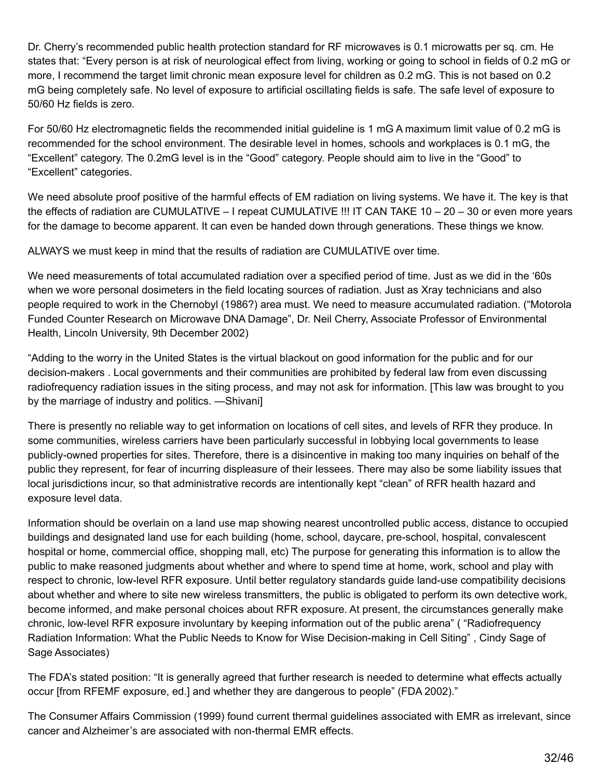Dr. Cherry's recommended public health protection standard for RF microwaves is 0.1 microwatts per sq. cm. He states that: "Every person is at risk of neurological effect from living, working or going to school in fields of 0.2 mG or more, I recommend the target limit chronic mean exposure level for children as 0.2 mG. This is not based on 0.2 mG being completely safe. No level of exposure to artificial oscillating fields is safe. The safe level of exposure to 50/60 Hz fields is zero.

For 50/60 Hz electromagnetic fields the recommended initial guideline is 1 mG A maximum limit value of 0.2 mG is recommended for the school environment. The desirable level in homes, schools and workplaces is 0.1 mG, the "Excellent" category. The 0.2mG level is in the "Good" category. People should aim to live in the "Good" to "Excellent" categories.

We need absolute proof positive of the harmful effects of EM radiation on living systems. We have it. The key is that the effects of radiation are CUMULATIVE – I repeat CUMULATIVE !!! IT CAN TAKE 10 – 20 – 30 or even more years for the damage to become apparent. It can even be handed down through generations. These things we know.

ALWAYS we must keep in mind that the results of radiation are CUMULATIVE over time.

We need measurements of total accumulated radiation over a specified period of time. Just as we did in the '60s when we wore personal dosimeters in the field locating sources of radiation. Just as Xray technicians and also people required to work in the Chernobyl (1986?) area must. We need to measure accumulated radiation. ("Motorola Funded Counter Research on Microwave DNA Damage", Dr. Neil Cherry, Associate Professor of Environmental Health, Lincoln University, 9th December 2002)

"Adding to the worry in the United States is the virtual blackout on good information for the public and for our decision-makers . Local governments and their communities are prohibited by federal law from even discussing radiofrequency radiation issues in the siting process, and may not ask for information. [This law was brought to you by the marriage of industry and politics. —Shivani]

There is presently no reliable way to get information on locations of cell sites, and levels of RFR they produce. In some communities, wireless carriers have been particularly successful in lobbying local governments to lease publicly-owned properties for sites. Therefore, there is a disincentive in making too many inquiries on behalf of the public they represent, for fear of incurring displeasure of their lessees. There may also be some liability issues that local jurisdictions incur, so that administrative records are intentionally kept "clean" of RFR health hazard and exposure level data.

Information should be overlain on a land use map showing nearest uncontrolled public access, distance to occupied buildings and designated land use for each building (home, school, daycare, pre-school, hospital, convalescent hospital or home, commercial office, shopping mall, etc) The purpose for generating this information is to allow the public to make reasoned judgments about whether and where to spend time at home, work, school and play with respect to chronic, low-level RFR exposure. Until better regulatory standards guide land-use compatibility decisions about whether and where to site new wireless transmitters, the public is obligated to perform its own detective work, become informed, and make personal choices about RFR exposure. At present, the circumstances generally make chronic, low-level RFR exposure involuntary by keeping information out of the public arena" ( "Radiofrequency Radiation Information: What the Public Needs to Know for Wise Decision-making in Cell Siting" , Cindy Sage of Sage Associates)

The FDA's stated position: "It is generally agreed that further research is needed to determine what effects actually occur [from RFEMF exposure, ed.] and whether they are dangerous to people" (FDA 2002)."

The Consumer Affairs Commission (1999) found current thermal guidelines associated with EMR as irrelevant, since cancer and Alzheimer's are associated with non-thermal EMR effects.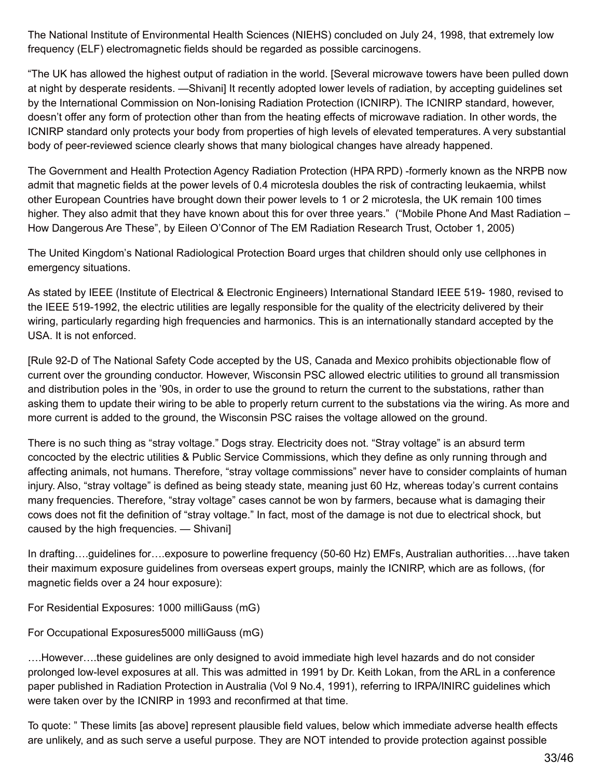The National Institute of Environmental Health Sciences (NIEHS) concluded on July 24, 1998, that extremely low frequency (ELF) electromagnetic fields should be regarded as possible carcinogens.

"The UK has allowed the highest output of radiation in the world. [Several microwave towers have been pulled down at night by desperate residents. —Shivani] It recently adopted lower levels of radiation, by accepting guidelines set by the International Commission on Non-Ionising Radiation Protection (ICNIRP). The ICNIRP standard, however, doesn't offer any form of protection other than from the heating effects of microwave radiation. In other words, the ICNIRP standard only protects your body from properties of high levels of elevated temperatures. A very substantial body of peer-reviewed science clearly shows that many biological changes have already happened.

The Government and Health Protection Agency Radiation Protection (HPA RPD) -formerly known as the NRPB now admit that magnetic fields at the power levels of 0.4 microtesla doubles the risk of contracting leukaemia, whilst other European Countries have brought down their power levels to 1 or 2 microtesla, the UK remain 100 times higher. They also admit that they have known about this for over three years." ("Mobile Phone And Mast Radiation – How Dangerous Are These", by Eileen O'Connor of The EM Radiation Research Trust, October 1, 2005)

The United Kingdom's National Radiological Protection Board urges that children should only use cellphones in emergency situations.

As stated by IEEE (Institute of Electrical & Electronic Engineers) International Standard IEEE 519- 1980, revised to the IEEE 519-1992, the electric utilities are legally responsible for the quality of the electricity delivered by their wiring, particularly regarding high frequencies and harmonics. This is an internationally standard accepted by the USA. It is not enforced.

[Rule 92-D of The National Safety Code accepted by the US, Canada and Mexico prohibits objectionable flow of current over the grounding conductor. However, Wisconsin PSC allowed electric utilities to ground all transmission and distribution poles in the '90s, in order to use the ground to return the current to the substations, rather than asking them to update their wiring to be able to properly return current to the substations via the wiring. As more and more current is added to the ground, the Wisconsin PSC raises the voltage allowed on the ground.

There is no such thing as "stray voltage." Dogs stray. Electricity does not. "Stray voltage" is an absurd term concocted by the electric utilities & Public Service Commissions, which they define as only running through and affecting animals, not humans. Therefore, "stray voltage commissions" never have to consider complaints of human injury. Also, "stray voltage" is defined as being steady state, meaning just 60 Hz, whereas today's current contains many frequencies. Therefore, "stray voltage" cases cannot be won by farmers, because what is damaging their cows does not fit the definition of "stray voltage." In fact, most of the damage is not due to electrical shock, but caused by the high frequencies. — Shivani]

In drafting….guidelines for….exposure to powerline frequency (50-60 Hz) EMFs, Australian authorities….have taken their maximum exposure guidelines from overseas expert groups, mainly the ICNIRP, which are as follows, (for magnetic fields over a 24 hour exposure):

For Residential Exposures: 1000 milliGauss (mG)

For Occupational Exposures5000 milliGauss (mG)

….However….these guidelines are only designed to avoid immediate high level hazards and do not consider prolonged low-level exposures at all. This was admitted in 1991 by Dr. Keith Lokan, from the ARL in a conference paper published in Radiation Protection in Australia (Vol 9 No.4, 1991), referring to IRPA/INIRC guidelines which were taken over by the ICNIRP in 1993 and reconfirmed at that time.

To quote: " These limits [as above] represent plausible field values, below which immediate adverse health effects are unlikely, and as such serve a useful purpose. They are NOT intended to provide protection against possible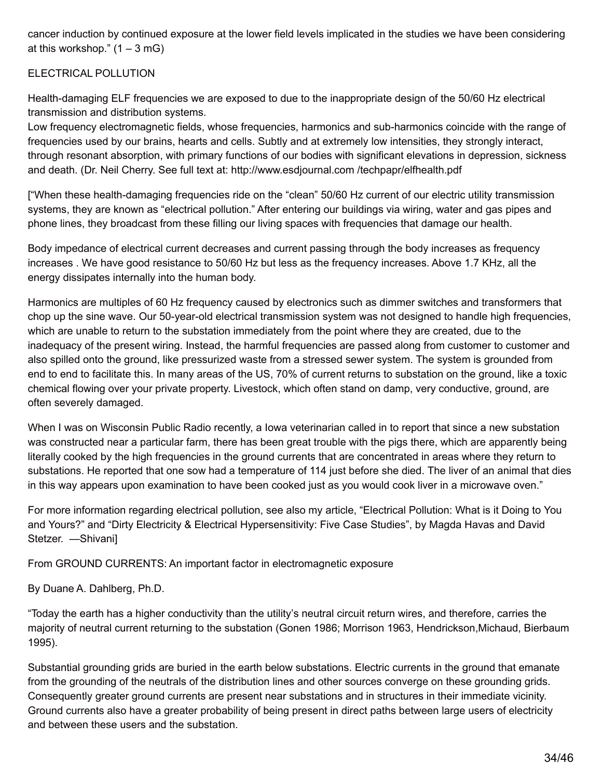cancer induction by continued exposure at the lower field levels implicated in the studies we have been considering at this workshop."  $(1 - 3 \text{ mG})$ 

### ELECTRICAL POLLUTION

Health-damaging ELF frequencies we are exposed to due to the inappropriate design of the 50/60 Hz electrical transmission and distribution systems.

Low frequency electromagnetic fields, whose frequencies, harmonics and sub-harmonics coincide with the range of frequencies used by our brains, hearts and cells. Subtly and at extremely low intensities, they strongly interact, through resonant absorption, with primary functions of our bodies with significant elevations in depression, sickness and death. (Dr. Neil Cherry. See full text at: http://www.esdjournal.com /techpapr/elfhealth.pdf

["When these health-damaging frequencies ride on the "clean" 50/60 Hz current of our electric utility transmission systems, they are known as "electrical pollution." After entering our buildings via wiring, water and gas pipes and phone lines, they broadcast from these filling our living spaces with frequencies that damage our health.

Body impedance of electrical current decreases and current passing through the body increases as frequency increases . We have good resistance to 50/60 Hz but less as the frequency increases. Above 1.7 KHz, all the energy dissipates internally into the human body.

Harmonics are multiples of 60 Hz frequency caused by electronics such as dimmer switches and transformers that chop up the sine wave. Our 50-year-old electrical transmission system was not designed to handle high frequencies, which are unable to return to the substation immediately from the point where they are created, due to the inadequacy of the present wiring. Instead, the harmful frequencies are passed along from customer to customer and also spilled onto the ground, like pressurized waste from a stressed sewer system. The system is grounded from end to end to facilitate this. In many areas of the US, 70% of current returns to substation on the ground, like a toxic chemical flowing over your private property. Livestock, which often stand on damp, very conductive, ground, are often severely damaged.

When I was on Wisconsin Public Radio recently, a lowa veterinarian called in to report that since a new substation was constructed near a particular farm, there has been great trouble with the pigs there, which are apparently being literally cooked by the high frequencies in the ground currents that are concentrated in areas where they return to substations. He reported that one sow had a temperature of 114 just before she died. The liver of an animal that dies in this way appears upon examination to have been cooked just as you would cook liver in a microwave oven."

For more information regarding electrical pollution, see also my article, "Electrical Pollution: What is it Doing to You and Yours?" and "Dirty Electricity & Electrical Hypersensitivity: Five Case Studies", by Magda Havas and David Stetzer. —Shivani]

From GROUND CURRENTS: An important factor in electromagnetic exposure

By Duane A. Dahlberg, Ph.D.

"Today the earth has a higher conductivity than the utility's neutral circuit return wires, and therefore, carries the majority of neutral current returning to the substation (Gonen 1986; Morrison 1963, Hendrickson,Michaud, Bierbaum 1995).

Substantial grounding grids are buried in the earth below substations. Electric currents in the ground that emanate from the grounding of the neutrals of the distribution lines and other sources converge on these grounding grids. Consequently greater ground currents are present near substations and in structures in their immediate vicinity. Ground currents also have a greater probability of being present in direct paths between large users of electricity and between these users and the substation.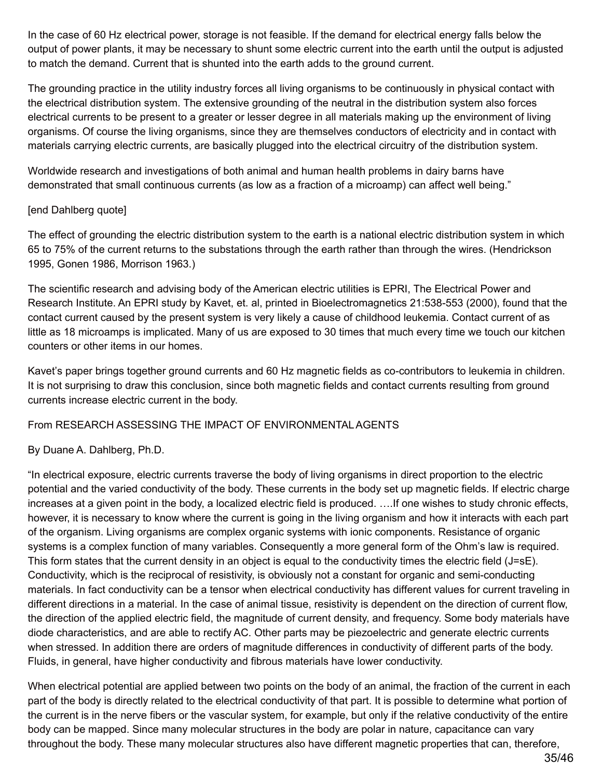In the case of 60 Hz electrical power, storage is not feasible. If the demand for electrical energy falls below the output of power plants, it may be necessary to shunt some electric current into the earth until the output is adjusted to match the demand. Current that is shunted into the earth adds to the ground current.

The grounding practice in the utility industry forces all living organisms to be continuously in physical contact with the electrical distribution system. The extensive grounding of the neutral in the distribution system also forces electrical currents to be present to a greater or lesser degree in all materials making up the environment of living organisms. Of course the living organisms, since they are themselves conductors of electricity and in contact with materials carrying electric currents, are basically plugged into the electrical circuitry of the distribution system.

Worldwide research and investigations of both animal and human health problems in dairy barns have demonstrated that small continuous currents (as low as a fraction of a microamp) can affect well being."

### [end Dahlberg quote]

The effect of grounding the electric distribution system to the earth is a national electric distribution system in which 65 to 75% of the current returns to the substations through the earth rather than through the wires. (Hendrickson 1995, Gonen 1986, Morrison 1963.)

The scientific research and advising body of the American electric utilities is EPRI, The Electrical Power and Research Institute. An EPRI study by Kavet, et. al, printed in Bioelectromagnetics 21:538-553 (2000), found that the contact current caused by the present system is very likely a cause of childhood leukemia. Contact current of as little as 18 microamps is implicated. Many of us are exposed to 30 times that much every time we touch our kitchen counters or other items in our homes.

Kavet's paper brings together ground currents and 60 Hz magnetic fields as co-contributors to leukemia in children. It is not surprising to draw this conclusion, since both magnetic fields and contact currents resulting from ground currents increase electric current in the body.

### From RESEARCH ASSESSING THE IMPACT OF ENVIRONMENTALAGENTS

### By Duane A. Dahlberg, Ph.D.

"In electrical exposure, electric currents traverse the body of living organisms in direct proportion to the electric potential and the varied conductivity of the body. These currents in the body set up magnetic fields. If electric charge increases at a given point in the body, a localized electric field is produced. ….If one wishes to study chronic effects, however, it is necessary to know where the current is going in the living organism and how it interacts with each part of the organism. Living organisms are complex organic systems with ionic components. Resistance of organic systems is a complex function of many variables. Consequently a more general form of the Ohm's law is required. This form states that the current density in an object is equal to the conductivity times the electric field (J=sE). Conductivity, which is the reciprocal of resistivity, is obviously not a constant for organic and semi-conducting materials. In fact conductivity can be a tensor when electrical conductivity has different values for current traveling in different directions in a material. In the case of animal tissue, resistivity is dependent on the direction of current flow, the direction of the applied electric field, the magnitude of current density, and frequency. Some body materials have diode characteristics, and are able to rectify AC. Other parts may be piezoelectric and generate electric currents when stressed. In addition there are orders of magnitude differences in conductivity of different parts of the body. Fluids, in general, have higher conductivity and fibrous materials have lower conductivity.

When electrical potential are applied between two points on the body of an animal, the fraction of the current in each part of the body is directly related to the electrical conductivity of that part. It is possible to determine what portion of the current is in the nerve fibers or the vascular system, for example, but only if the relative conductivity of the entire body can be mapped. Since many molecular structures in the body are polar in nature, capacitance can vary throughout the body. These many molecular structures also have different magnetic properties that can, therefore,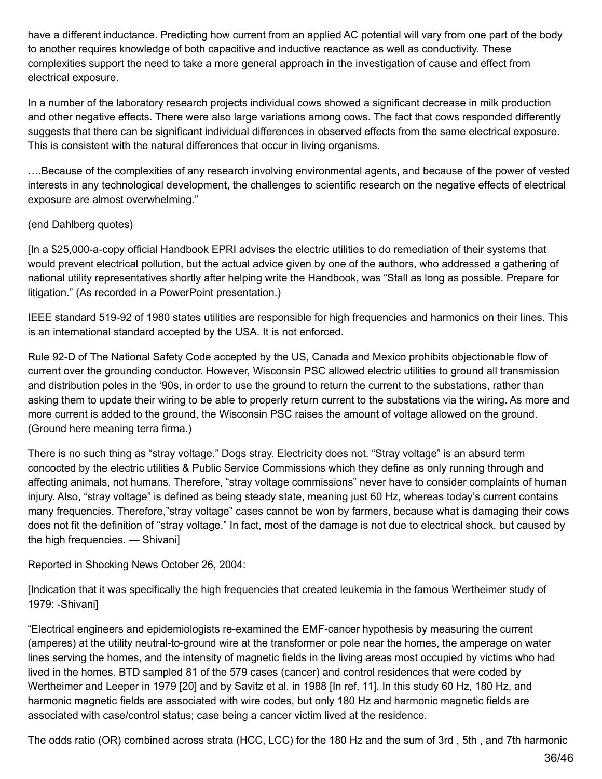have a different inductance. Predicting how current from an applied AC potential will vary from one part of the body to another requires knowledge of both capacitive and inductive reactance as well as conductivity. These complexities support the need to take a more general approach in the investigation of cause and effect from electrical exposure.

In a number of the laboratory research projects individual cows showed a significant decrease in milk production and other negative effects. There were also large variations among cows. The fact that cows responded differently suggests that there can be significant individual differences in observed effects from the same electrical exposure. This is consistent with the natural differences that occur in living organisms.

….Because of the complexities of any research involving environmental agents, and because of the power of vested interests in any technological development, the challenges to scientific research on the negative effects of electrical exposure are almost overwhelming."

### (end Dahlberg quotes)

[In a \$25,000-a-copy official Handbook EPRI advises the electric utilities to do remediation of their systems that would prevent electrical pollution, but the actual advice given by one of the authors, who addressed a gathering of national utility representatives shortly after helping write the Handbook, was "Stall as long as possible. Prepare for litigation." (As recorded in a PowerPoint presentation.)

IEEE standard 519-92 of 1980 states utilities are responsible for high frequencies and harmonics on their lines. This is an international standard accepted by the USA. It is not enforced.

Rule 92-D of The National Safety Code accepted by the US, Canada and Mexico prohibits objectionable flow of current over the grounding conductor. However, Wisconsin PSC allowed electric utilities to ground all transmission and distribution poles in the '90s, in order to use the ground to return the current to the substations, rather than asking them to update their wiring to be able to properly return current to the substations via the wiring. As more and more current is added to the ground, the Wisconsin PSC raises the amount of voltage allowed on the ground. (Ground here meaning terra firma.)

There is no such thing as "stray voltage." Dogs stray. Electricity does not. "Stray voltage" is an absurd term concocted by the electric utilities & Public Service Commissions which they define as only running through and affecting animals, not humans. Therefore, "stray voltage commissions" never have to consider complaints of human injury. Also, "stray voltage" is defined as being steady state, meaning just 60 Hz, whereas today's current contains many frequencies. Therefore,"stray voltage" cases cannot be won by farmers, because what is damaging their cows does not fit the definition of "stray voltage." In fact, most of the damage is not due to electrical shock, but caused by the high frequencies. — Shivani]

Reported in Shocking News October 26, 2004:

[Indication that it was specifically the high frequencies that created leukemia in the famous Wertheimer study of 1979: -Shivani]

"Electrical engineers and epidemiologists re-examined the EMF-cancer hypothesis by measuring the current (amperes) at the utility neutral-to-ground wire at the transformer or pole near the homes, the amperage on water lines serving the homes, and the intensity of magnetic fields in the living areas most occupied by victims who had lived in the homes. BTD sampled 81 of the 579 cases (cancer) and control residences that were coded by Wertheimer and Leeper in 1979 [20] and by Savitz et al. in 1988 [In ref. 11]. In this study 60 Hz, 180 Hz, and harmonic magnetic fields are associated with wire codes, but only 180 Hz and harmonic magnetic fields are associated with case/control status; case being a cancer victim lived at the residence.

The odds ratio (OR) combined across strata (HCC, LCC) for the 180 Hz and the sum of 3rd , 5th , and 7th harmonic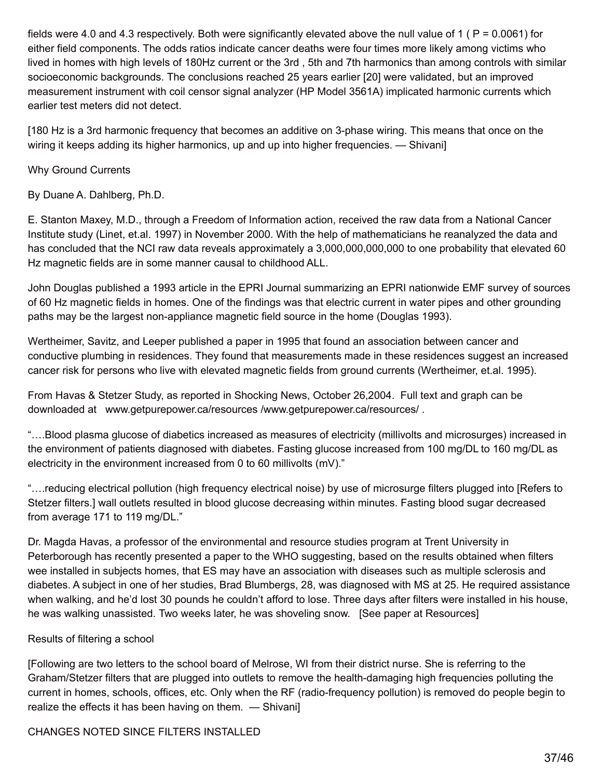fields were 4.0 and 4.3 respectively. Both were significantly elevated above the null value of 1 ( P = 0.0061) for either field components. The odds ratios indicate cancer deaths were four times more likely among victims who lived in homes with high levels of 180Hz current or the 3rd , 5th and 7th harmonics than among controls with similar socioeconomic backgrounds. The conclusions reached 25 years earlier [20] were validated, but an improved measurement instrument with coil censor signal analyzer (HP Model 3561A) implicated harmonic currents which earlier test meters did not detect.

[180 Hz is a 3rd harmonic frequency that becomes an additive on 3-phase wiring. This means that once on the wiring it keeps adding its higher harmonics, up and up into higher frequencies. — Shivani]

### Why Ground Currents

By Duane A. Dahlberg, Ph.D.

E. Stanton Maxey, M.D., through a Freedom of Information action, received the raw data from a National Cancer Institute study (Linet, et.al. 1997) in November 2000. With the help of mathematicians he reanalyzed the data and has concluded that the NCI raw data reveals approximately a 3,000,000,000,000 to one probability that elevated 60 Hz magnetic fields are in some manner causal to childhood ALL.

John Douglas published a 1993 article in the EPRI Journal summarizing an EPRI nationwide EMF survey of sources of 60 Hz magnetic fields in homes. One of the findings was that electric current in water pipes and other grounding paths may be the largest non-appliance magnetic field source in the home (Douglas 1993).

Wertheimer, Savitz, and Leeper published a paper in 1995 that found an association between cancer and conductive plumbing in residences. They found that measurements made in these residences suggest an increased cancer risk for persons who live with elevated magnetic fields from ground currents (Wertheimer, et.al. 1995).

From Havas & Stetzer Study, as reported in Shocking News, October 26,2004. Full text and graph can be downloaded at www.getpurepower.ca/resources /www.getpurepower.ca/resources/ .

"….Blood plasma glucose of diabetics increased as measures of electricity (millivolts and microsurges) increased in the environment of patients diagnosed with diabetes. Fasting glucose increased from 100 mg/DL to 160 mg/DL as electricity in the environment increased from 0 to 60 millivolts (mV)."

"….reducing electrical pollution (high frequency electrical noise) by use of microsurge filters plugged into [Refers to Stetzer filters.] wall outlets resulted in blood glucose decreasing within minutes. Fasting blood sugar decreased from average 171 to 119 mg/DL."

Dr. Magda Havas, a professor of the environmental and resource studies program at Trent University in Peterborough has recently presented a paper to the WHO suggesting, based on the results obtained when filters wee installed in subjects homes, that ES may have an association with diseases such as multiple sclerosis and diabetes. A subject in one of her studies, Brad Blumbergs, 28, was diagnosed with MS at 25. He required assistance when walking, and he'd lost 30 pounds he couldn't afford to lose. Three days after filters were installed in his house, he was walking unassisted. Two weeks later, he was shoveling snow. [See paper at Resources]

### Results of filtering a school

[Following are two letters to the school board of Melrose, WI from their district nurse. She is referring to the Graham/Stetzer filters that are plugged into outlets to remove the health-damaging high frequencies polluting the current in homes, schools, offices, etc. Only when the RF (radio-frequency pollution) is removed do people begin to realize the effects it has been having on them. — Shivani]

CHANGES NOTED SINCE FILTERS INSTALLED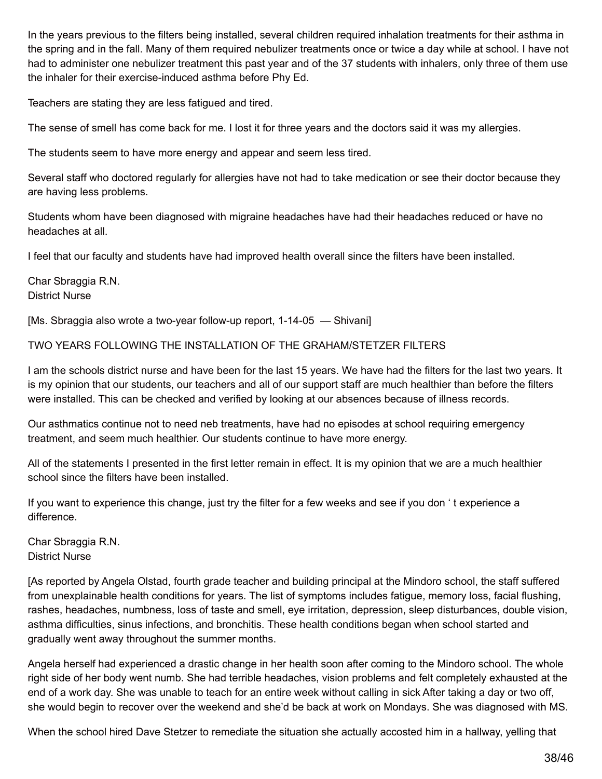In the years previous to the filters being installed, several children required inhalation treatments for their asthma in the spring and in the fall. Many of them required nebulizer treatments once or twice a day while at school. I have not had to administer one nebulizer treatment this past year and of the 37 students with inhalers, only three of them use the inhaler for their exercise-induced asthma before Phy Ed.

Teachers are stating they are less fatigued and tired.

The sense of smell has come back for me. I lost it for three years and the doctors said it was my allergies.

The students seem to have more energy and appear and seem less tired.

Several staff who doctored regularly for allergies have not had to take medication or see their doctor because they are having less problems.

Students whom have been diagnosed with migraine headaches have had their headaches reduced or have no headaches at all.

I feel that our faculty and students have had improved health overall since the filters have been installed.

Char Sbraggia R.N. District Nurse

[Ms. Sbraggia also wrote a two-year follow-up report, 1-14-05 — Shivani]

### TWO YEARS FOLLOWING THE INSTALLATION OF THE GRAHAM/STETZER FILTERS

I am the schools district nurse and have been for the last 15 years. We have had the filters for the last two years. It is my opinion that our students, our teachers and all of our support staff are much healthier than before the filters were installed. This can be checked and verified by looking at our absences because of illness records.

Our asthmatics continue not to need neb treatments, have had no episodes at school requiring emergency treatment, and seem much healthier. Our students continue to have more energy.

All of the statements I presented in the first letter remain in effect. It is my opinion that we are a much healthier school since the filters have been installed.

If you want to experience this change, just try the filter for a few weeks and see if you don ' t experience a difference.

Char Sbraggia R.N. District Nurse

[As reported by Angela Olstad, fourth grade teacher and building principal at the Mindoro school, the staff suffered from unexplainable health conditions for years. The list of symptoms includes fatigue, memory loss, facial flushing, rashes, headaches, numbness, loss of taste and smell, eye irritation, depression, sleep disturbances, double vision, asthma difficulties, sinus infections, and bronchitis. These health conditions began when school started and gradually went away throughout the summer months.

Angela herself had experienced a drastic change in her health soon after coming to the Mindoro school. The whole right side of her body went numb. She had terrible headaches, vision problems and felt completely exhausted at the end of a work day. She was unable to teach for an entire week without calling in sick After taking a day or two off, she would begin to recover over the weekend and she'd be back at work on Mondays. She was diagnosed with MS.

When the school hired Dave Stetzer to remediate the situation she actually accosted him in a hallway, yelling that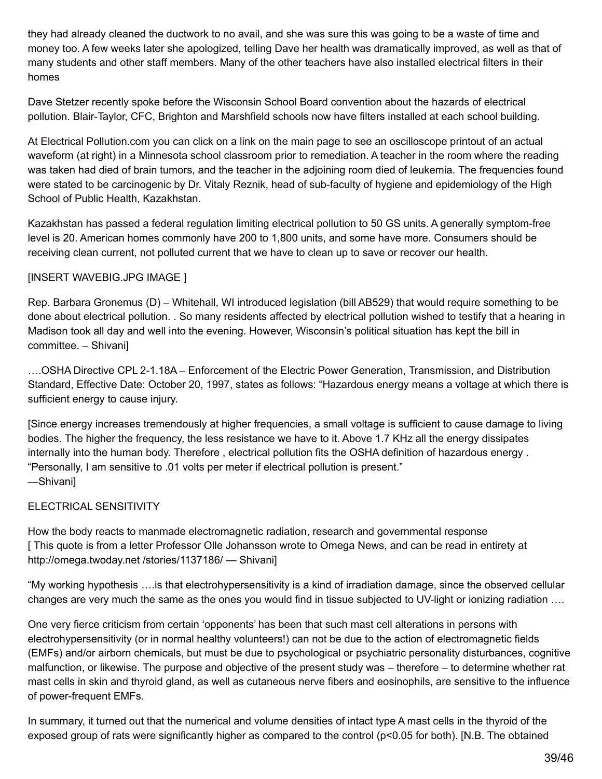they had already cleaned the ductwork to no avail, and she was sure this was going to be a waste of time and money too. A few weeks later she apologized, telling Dave her health was dramatically improved, as well as that of many students and other staff members. Many of the other teachers have also installed electrical filters in their homes

Dave Stetzer recently spoke before the Wisconsin School Board convention about the hazards of electrical pollution. Blair-Taylor, CFC, Brighton and Marshfield schools now have filters installed at each school building.

At Electrical Pollution.com you can click on a link on the main page to see an oscilloscope printout of an actual waveform (at right) in a Minnesota school classroom prior to remediation. A teacher in the room where the reading was taken had died of brain tumors, and the teacher in the adjoining room died of leukemia. The frequencies found were stated to be carcinogenic by Dr. Vitaly Reznik, head of sub-faculty of hygiene and epidemiology of the High School of Public Health, Kazakhstan.

Kazakhstan has passed a federal regulation limiting electrical pollution to 50 GS units. A generally symptom-free level is 20. American homes commonly have 200 to 1,800 units, and some have more. Consumers should be receiving clean current, not polluted current that we have to clean up to save or recover our health.

### [INSERT WAVEBIG.JPG IMAGE ]

Rep. Barbara Gronemus (D) – Whitehall, WI introduced legislation (bill AB529) that would require something to be done about electrical pollution. . So many residents affected by electrical pollution wished to testify that a hearing in Madison took all day and well into the evening. However, Wisconsin's political situation has kept the bill in committee. – Shivani]

….OSHA Directive CPL 2-1.18A – Enforcement of the Electric Power Generation, Transmission, and Distribution Standard, Effective Date: October 20, 1997, states as follows: "Hazardous energy means a voltage at which there is sufficient energy to cause injury.

[Since energy increases tremendously at higher frequencies, a small voltage is sufficient to cause damage to living bodies. The higher the frequency, the less resistance we have to it. Above 1.7 KHz all the energy dissipates internally into the human body. Therefore , electrical pollution fits the OSHA definition of hazardous energy . "Personally, I am sensitive to .01 volts per meter if electrical pollution is present." —Shivani]

### ELECTRICAL SENSITIVITY

How the body reacts to manmade electromagnetic radiation, research and governmental response [ This quote is from a letter Professor Olle Johansson wrote to Omega News, and can be read in entirety at http://omega.twoday.net /stories/1137186/ — Shivani]

"My working hypothesis ….is that electrohypersensitivity is a kind of irradiation damage, since the observed cellular changes are very much the same as the ones you would find in tissue subjected to UV-light or ionizing radiation ….

One very fierce criticism from certain 'opponents' has been that such mast cell alterations in persons with electrohypersensitivity (or in normal healthy volunteers!) can not be due to the action of electromagnetic fields (EMFs) and/or airborn chemicals, but must be due to psychological or psychiatric personality disturbances, cognitive malfunction, or likewise. The purpose and objective of the present study was – therefore – to determine whether rat mast cells in skin and thyroid gland, as well as cutaneous nerve fibers and eosinophils, are sensitive to the influence of power-frequent EMFs.

In summary, it turned out that the numerical and volume densities of intact type A mast cells in the thyroid of the exposed group of rats were significantly higher as compared to the control (p<0.05 for both). [N.B. The obtained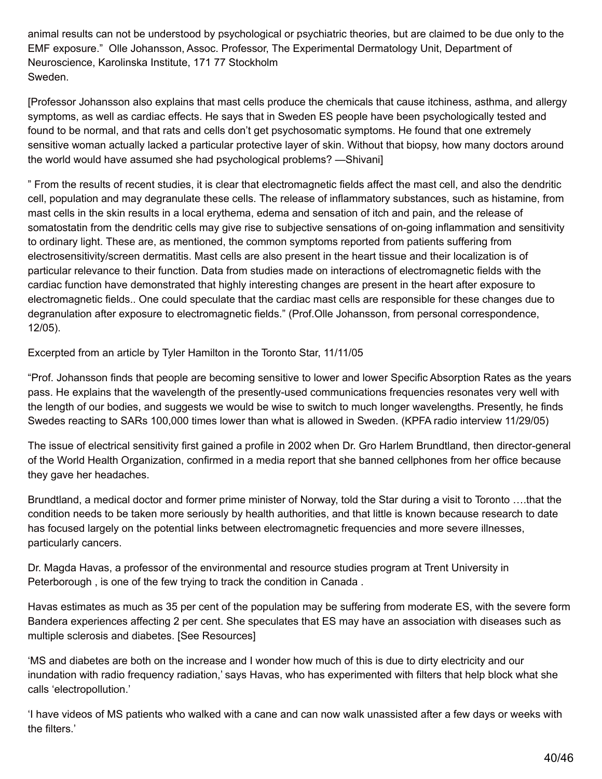animal results can not be understood by psychological or psychiatric theories, but are claimed to be due only to the EMF exposure." Olle Johansson, Assoc. Professor, The Experimental Dermatology Unit, Department of Neuroscience, Karolinska Institute, 171 77 Stockholm Sweden.

[Professor Johansson also explains that mast cells produce the chemicals that cause itchiness, asthma, and allergy symptoms, as well as cardiac effects. He says that in Sweden ES people have been psychologically tested and found to be normal, and that rats and cells don't get psychosomatic symptoms. He found that one extremely sensitive woman actually lacked a particular protective layer of skin. Without that biopsy, how many doctors around the world would have assumed she had psychological problems? —Shivani]

" From the results of recent studies, it is clear that electromagnetic fields affect the mast cell, and also the dendritic cell, population and may degranulate these cells. The release of inflammatory substances, such as histamine, from mast cells in the skin results in a local erythema, edema and sensation of itch and pain, and the release of somatostatin from the dendritic cells may give rise to subjective sensations of on-going inflammation and sensitivity to ordinary light. These are, as mentioned, the common symptoms reported from patients suffering from electrosensitivity/screen dermatitis. Mast cells are also present in the heart tissue and their localization is of particular relevance to their function. Data from studies made on interactions of electromagnetic fields with the cardiac function have demonstrated that highly interesting changes are present in the heart after exposure to electromagnetic fields.. One could speculate that the cardiac mast cells are responsible for these changes due to degranulation after exposure to electromagnetic fields." (Prof.Olle Johansson, from personal correspondence, 12/05).

Excerpted from an article by Tyler Hamilton in the Toronto Star, 11/11/05

"Prof. Johansson finds that people are becoming sensitive to lower and lower Specific Absorption Rates as the years pass. He explains that the wavelength of the presently-used communications frequencies resonates very well with the length of our bodies, and suggests we would be wise to switch to much longer wavelengths. Presently, he finds Swedes reacting to SARs 100,000 times lower than what is allowed in Sweden. (KPFA radio interview 11/29/05)

The issue of electrical sensitivity first gained a profile in 2002 when Dr. Gro Harlem Brundtland, then director-general of the World Health Organization, confirmed in a media report that she banned cellphones from her office because they gave her headaches.

Brundtland, a medical doctor and former prime minister of Norway, told the Star during a visit to Toronto ….that the condition needs to be taken more seriously by health authorities, and that little is known because research to date has focused largely on the potential links between electromagnetic frequencies and more severe illnesses, particularly cancers.

Dr. Magda Havas, a professor of the environmental and resource studies program at Trent University in Peterborough , is one of the few trying to track the condition in Canada .

Havas estimates as much as 35 per cent of the population may be suffering from moderate ES, with the severe form Bandera experiences affecting 2 per cent. She speculates that ES may have an association with diseases such as multiple sclerosis and diabetes. [See Resources]

'MS and diabetes are both on the increase and I wonder how much of this is due to dirty electricity and our inundation with radio frequency radiation,' says Havas, who has experimented with filters that help block what she calls 'electropollution.'

'I have videos of MS patients who walked with a cane and can now walk unassisted after a few days or weeks with the filters.'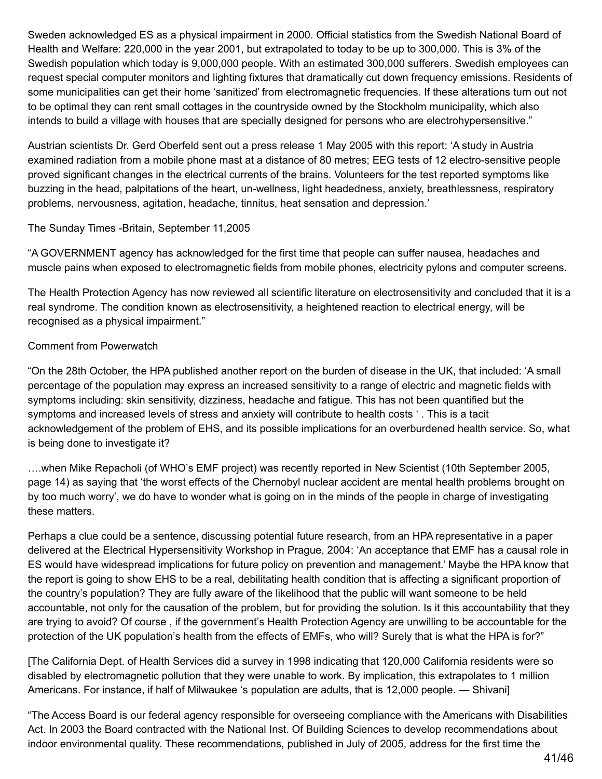Sweden acknowledged ES as a physical impairment in 2000. Official statistics from the Swedish National Board of Health and Welfare: 220,000 in the year 2001, but extrapolated to today to be up to 300,000. This is 3% of the Swedish population which today is 9,000,000 people. With an estimated 300,000 sufferers. Swedish employees can request special computer monitors and lighting fixtures that dramatically cut down frequency emissions. Residents of some municipalities can get their home 'sanitized' from electromagnetic frequencies. If these alterations turn out not to be optimal they can rent small cottages in the countryside owned by the Stockholm municipality, which also intends to build a village with houses that are specially designed for persons who are electrohypersensitive."

Austrian scientists Dr. Gerd Oberfeld sent out a press release 1 May 2005 with this report: 'A study in Austria examined radiation from a mobile phone mast at a distance of 80 metres; EEG tests of 12 electro-sensitive people proved significant changes in the electrical currents of the brains. Volunteers for the test reported symptoms like buzzing in the head, palpitations of the heart, un-wellness, light headedness, anxiety, breathlessness, respiratory problems, nervousness, agitation, headache, tinnitus, heat sensation and depression.'

The Sunday Times -Britain, September 11,2005

"A GOVERNMENT agency has acknowledged for the first time that people can suffer nausea, headaches and muscle pains when exposed to electromagnetic fields from mobile phones, electricity pylons and computer screens.

The Health Protection Agency has now reviewed all scientific literature on electrosensitivity and concluded that it is a real syndrome. The condition known as electrosensitivity, a heightened reaction to electrical energy, will be recognised as a physical impairment."

### Comment from Powerwatch

"On the 28th October, the HPA published another report on the burden of disease in the UK, that included: 'A small percentage of the population may express an increased sensitivity to a range of electric and magnetic fields with symptoms including: skin sensitivity, dizziness, headache and fatigue. This has not been quantified but the symptoms and increased levels of stress and anxiety will contribute to health costs ' . This is a tacit acknowledgement of the problem of EHS, and its possible implications for an overburdened health service. So, what is being done to investigate it?

….when Mike Repacholi (of WHO's EMF project) was recently reported in New Scientist (10th September 2005, page 14) as saying that 'the worst effects of the Chernobyl nuclear accident are mental health problems brought on by too much worry', we do have to wonder what is going on in the minds of the people in charge of investigating these matters.

Perhaps a clue could be a sentence, discussing potential future research, from an HPA representative in a paper delivered at the Electrical Hypersensitivity Workshop in Prague, 2004: 'An acceptance that EMF has a causal role in ES would have widespread implications for future policy on prevention and management.' Maybe the HPA know that the report is going to show EHS to be a real, debilitating health condition that is affecting a significant proportion of the country's population? They are fully aware of the likelihood that the public will want someone to be held accountable, not only for the causation of the problem, but for providing the solution. Is it this accountability that they are trying to avoid? Of course , if the government's Health Protection Agency are unwilling to be accountable for the protection of the UK population's health from the effects of EMFs, who will? Surely that is what the HPA is for?"

[The California Dept. of Health Services did a survey in 1998 indicating that 120,000 California residents were so disabled by electromagnetic pollution that they were unable to work. By implication, this extrapolates to 1 million Americans. For instance, if half of Milwaukee 's population are adults, that is 12,000 people. — Shivani]

"The Access Board is our federal agency responsible for overseeing compliance with the Americans with Disabilities Act. In 2003 the Board contracted with the National Inst. Of Building Sciences to develop recommendations about indoor environmental quality. These recommendations, published in July of 2005, address for the first time the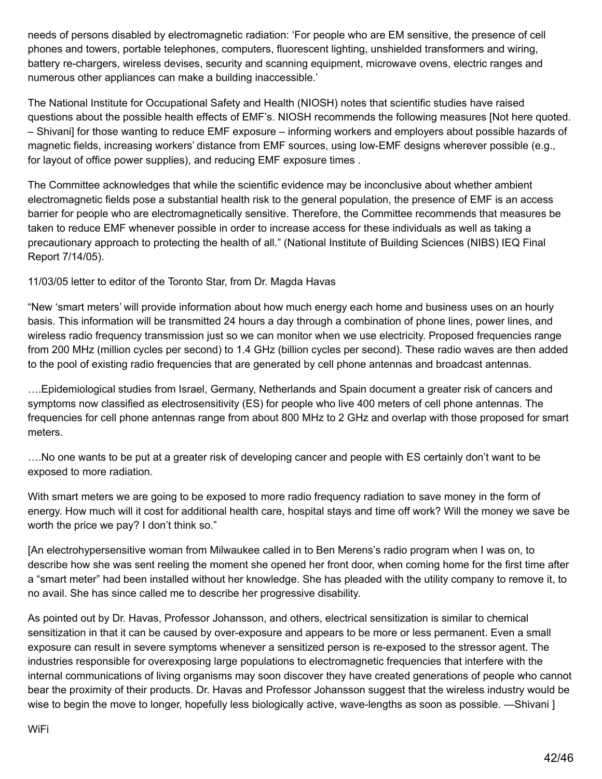needs of persons disabled by electromagnetic radiation: 'For people who are EM sensitive, the presence of cell phones and towers, portable telephones, computers, fluorescent lighting, unshielded transformers and wiring, battery re-chargers, wireless devises, security and scanning equipment, microwave ovens, electric ranges and numerous other appliances can make a building inaccessible.'

The National Institute for Occupational Safety and Health (NIOSH) notes that scientific studies have raised questions about the possible health effects of EMF's. NIOSH recommends the following measures [Not here quoted. – Shivani] for those wanting to reduce EMF exposure – informing workers and employers about possible hazards of magnetic fields, increasing workers' distance from EMF sources, using low-EMF designs wherever possible (e.g., for layout of office power supplies), and reducing EMF exposure times .

The Committee acknowledges that while the scientific evidence may be inconclusive about whether ambient electromagnetic fields pose a substantial health risk to the general population, the presence of EMF is an access barrier for people who are electromagnetically sensitive. Therefore, the Committee recommends that measures be taken to reduce EMF whenever possible in order to increase access for these individuals as well as taking a precautionary approach to protecting the health of all." (National Institute of Building Sciences (NIBS) IEQ Final Report 7/14/05).

11/03/05 letter to editor of the Toronto Star, from Dr. Magda Havas

"New 'smart meters' will provide information about how much energy each home and business uses on an hourly basis. This information will be transmitted 24 hours a day through a combination of phone lines, power lines, and wireless radio frequency transmission just so we can monitor when we use electricity. Proposed frequencies range from 200 MHz (million cycles per second) to 1.4 GHz (billion cycles per second). These radio waves are then added to the pool of existing radio frequencies that are generated by cell phone antennas and broadcast antennas.

….Epidemiological studies from Israel, Germany, Netherlands and Spain document a greater risk of cancers and symptoms now classified as electrosensitivity (ES) for people who live 400 meters of cell phone antennas. The frequencies for cell phone antennas range from about 800 MHz to 2 GHz and overlap with those proposed for smart meters.

….No one wants to be put at a greater risk of developing cancer and people with ES certainly don't want to be exposed to more radiation.

With smart meters we are going to be exposed to more radio frequency radiation to save money in the form of energy. How much will it cost for additional health care, hospital stays and time off work? Will the money we save be worth the price we pay? I don't think so."

[An electrohypersensitive woman from Milwaukee called in to Ben Merens's radio program when I was on, to describe how she was sent reeling the moment she opened her front door, when coming home for the first time after a "smart meter" had been installed without her knowledge. She has pleaded with the utility company to remove it, to no avail. She has since called me to describe her progressive disability.

As pointed out by Dr. Havas, Professor Johansson, and others, electrical sensitization is similar to chemical sensitization in that it can be caused by over-exposure and appears to be more or less permanent. Even a small exposure can result in severe symptoms whenever a sensitized person is re-exposed to the stressor agent. The industries responsible for overexposing large populations to electromagnetic frequencies that interfere with the internal communications of living organisms may soon discover they have created generations of people who cannot bear the proximity of their products. Dr. Havas and Professor Johansson suggest that the wireless industry would be wise to begin the move to longer, hopefully less biologically active, wave-lengths as soon as possible. —Shivani ]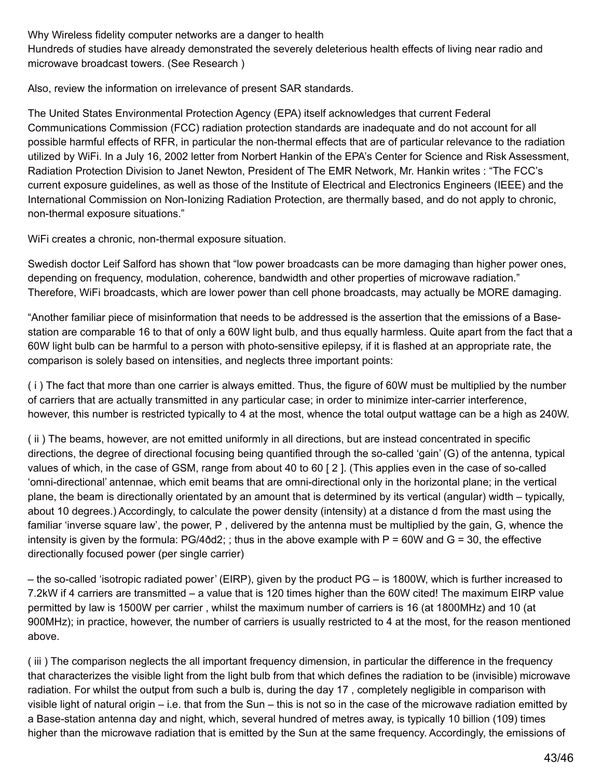Why Wireless fidelity computer networks are a danger to health Hundreds of studies have already demonstrated the severely deleterious health effects of living near radio and microwave broadcast towers. (See Research )

Also, review the information on irrelevance of present SAR standards.

The United States Environmental Protection Agency (EPA) itself acknowledges that current Federal Communications Commission (FCC) radiation protection standards are inadequate and do not account for all possible harmful effects of RFR, in particular the non-thermal effects that are of particular relevance to the radiation utilized by WiFi. In a July 16, 2002 letter from Norbert Hankin of the EPA's Center for Science and Risk Assessment, Radiation Protection Division to Janet Newton, President of The EMR Network, Mr. Hankin writes : "The FCC's current exposure guidelines, as well as those of the Institute of Electrical and Electronics Engineers (IEEE) and the International Commission on Non-Ionizing Radiation Protection, are thermally based, and do not apply to chronic, non-thermal exposure situations."

WiFi creates a chronic, non-thermal exposure situation.

Swedish doctor Leif Salford has shown that "low power broadcasts can be more damaging than higher power ones, depending on frequency, modulation, coherence, bandwidth and other properties of microwave radiation." Therefore, WiFi broadcasts, which are lower power than cell phone broadcasts, may actually be MORE damaging.

"Another familiar piece of misinformation that needs to be addressed is the assertion that the emissions of a Basestation are comparable 16 to that of only a 60W light bulb, and thus equally harmless. Quite apart from the fact that a 60W light bulb can be harmful to a person with photo-sensitive epilepsy, if it is flashed at an appropriate rate, the comparison is solely based on intensities, and neglects three important points:

( i ) The fact that more than one carrier is always emitted. Thus, the figure of 60W must be multiplied by the number of carriers that are actually transmitted in any particular case; in order to minimize inter-carrier interference, however, this number is restricted typically to 4 at the most, whence the total output wattage can be a high as 240W.

( ii ) The beams, however, are not emitted uniformly in all directions, but are instead concentrated in specific directions, the degree of directional focusing being quantified through the so-called 'gain' (G) of the antenna, typical values of which, in the case of GSM, range from about 40 to 60 [ 2 ]. (This applies even in the case of so-called 'omni-directional' antennae, which emit beams that are omni-directional only in the horizontal plane; in the vertical plane, the beam is directionally orientated by an amount that is determined by its vertical (angular) width – typically, about 10 degrees.) Accordingly, to calculate the power density (intensity) at a distance d from the mast using the familiar 'inverse square law', the power, P , delivered by the antenna must be multiplied by the gain, G, whence the intensity is given by the formula:  $PG/4\text{d}d2$ ; ; thus in the above example with  $P = 60W$  and  $G = 30$ , the effective directionally focused power (per single carrier)

– the so-called 'isotropic radiated power' (EIRP), given by the product PG – is 1800W, which is further increased to 7.2kW if 4 carriers are transmitted – a value that is 120 times higher than the 60W cited! The maximum EIRP value permitted by law is 1500W per carrier , whilst the maximum number of carriers is 16 (at 1800MHz) and 10 (at 900MHz); in practice, however, the number of carriers is usually restricted to 4 at the most, for the reason mentioned above.

( iii ) The comparison neglects the all important frequency dimension, in particular the difference in the frequency that characterizes the visible light from the light bulb from that which defines the radiation to be (invisible) microwave radiation. For whilst the output from such a bulb is, during the day 17 , completely negligible in comparison with visible light of natural origin – i.e. that from the Sun – this is not so in the case of the microwave radiation emitted by a Base-station antenna day and night, which, several hundred of metres away, is typically 10 billion (109) times higher than the microwave radiation that is emitted by the Sun at the same frequency. Accordingly, the emissions of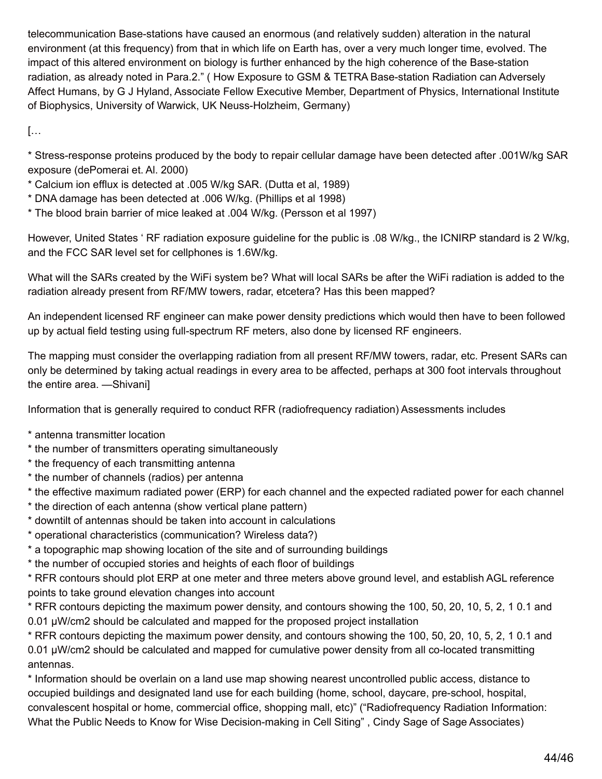telecommunication Base-stations have caused an enormous (and relatively sudden) alteration in the natural environment (at this frequency) from that in which life on Earth has, over a very much longer time, evolved. The impact of this altered environment on biology is further enhanced by the high coherence of the Base-station radiation, as already noted in Para.2." ( How Exposure to GSM & TETRA Base-station Radiation can Adversely Affect Humans, by G J Hyland, Associate Fellow Executive Member, Department of Physics, International Institute of Biophysics, University of Warwick, UK Neuss-Holzheim, Germany)

[…

\* Stress-response proteins produced by the body to repair cellular damage have been detected after .001W/kg SAR exposure (dePomerai et. Al. 2000)

\* Calcium ion efflux is detected at .005 W/kg SAR. (Dutta et al, 1989)

\* DNA damage has been detected at .006 W/kg. (Phillips et al 1998)

\* The blood brain barrier of mice leaked at .004 W/kg. (Persson et al 1997)

However, United States ' RF radiation exposure guideline for the public is .08 W/kg., the ICNIRP standard is 2 W/kg, and the FCC SAR level set for cellphones is 1.6W/kg.

What will the SARs created by the WiFi system be? What will local SARs be after the WiFi radiation is added to the radiation already present from RF/MW towers, radar, etcetera? Has this been mapped?

An independent licensed RF engineer can make power density predictions which would then have to been followed up by actual field testing using full-spectrum RF meters, also done by licensed RF engineers.

The mapping must consider the overlapping radiation from all present RF/MW towers, radar, etc. Present SARs can only be determined by taking actual readings in every area to be affected, perhaps at 300 foot intervals throughout the entire area. —Shivani]

Information that is generally required to conduct RFR (radiofrequency radiation) Assessments includes

- \* antenna transmitter location
- \* the number of transmitters operating simultaneously
- \* the frequency of each transmitting antenna
- \* the number of channels (radios) per antenna
- \* the effective maximum radiated power (ERP) for each channel and the expected radiated power for each channel
- \* the direction of each antenna (show vertical plane pattern)
- \* downtilt of antennas should be taken into account in calculations
- \* operational characteristics (communication? Wireless data?)
- \* a topographic map showing location of the site and of surrounding buildings
- \* the number of occupied stories and heights of each floor of buildings

\* RFR contours should plot ERP at one meter and three meters above ground level, and establish AGL reference points to take ground elevation changes into account

\* RFR contours depicting the maximum power density, and contours showing the 100, 50, 20, 10, 5, 2, 1 0.1 and 0.01 µW/cm2 should be calculated and mapped for the proposed project installation

\* RFR contours depicting the maximum power density, and contours showing the 100, 50, 20, 10, 5, 2, 1 0.1 and 0.01 µW/cm2 should be calculated and mapped for cumulative power density from all co-located transmitting antennas.

\* Information should be overlain on a land use map showing nearest uncontrolled public access, distance to occupied buildings and designated land use for each building (home, school, daycare, pre-school, hospital, convalescent hospital or home, commercial office, shopping mall, etc)" ("Radiofrequency Radiation Information: What the Public Needs to Know for Wise Decision-making in Cell Siting" , Cindy Sage of Sage Associates)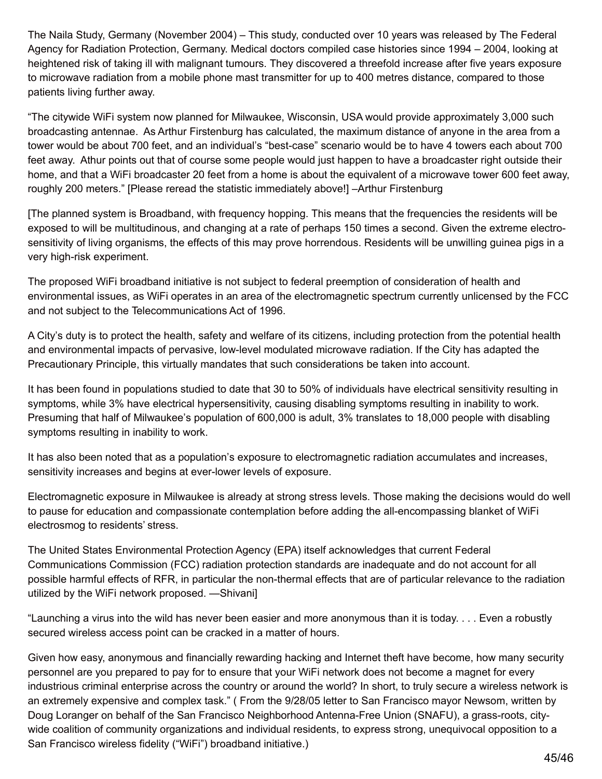The Naila Study, Germany (November 2004) – This study, conducted over 10 years was released by The Federal Agency for Radiation Protection, Germany. Medical doctors compiled case histories since 1994 – 2004, looking at heightened risk of taking ill with malignant tumours. They discovered a threefold increase after five years exposure to microwave radiation from a mobile phone mast transmitter for up to 400 metres distance, compared to those patients living further away.

"The citywide WiFi system now planned for Milwaukee, Wisconsin, USA would provide approximately 3,000 such broadcasting antennae. As Arthur Firstenburg has calculated, the maximum distance of anyone in the area from a tower would be about 700 feet, and an individual's "best-case" scenario would be to have 4 towers each about 700 feet away. Athur points out that of course some people would just happen to have a broadcaster right outside their home, and that a WiFi broadcaster 20 feet from a home is about the equivalent of a microwave tower 600 feet away, roughly 200 meters." [Please reread the statistic immediately above!] –Arthur Firstenburg

[The planned system is Broadband, with frequency hopping. This means that the frequencies the residents will be exposed to will be multitudinous, and changing at a rate of perhaps 150 times a second. Given the extreme electrosensitivity of living organisms, the effects of this may prove horrendous. Residents will be unwilling guinea pigs in a very high-risk experiment.

The proposed WiFi broadband initiative is not subject to federal preemption of consideration of health and environmental issues, as WiFi operates in an area of the electromagnetic spectrum currently unlicensed by the FCC and not subject to the Telecommunications Act of 1996.

A City's duty is to protect the health, safety and welfare of its citizens, including protection from the potential health and environmental impacts of pervasive, low-level modulated microwave radiation. If the City has adapted the Precautionary Principle, this virtually mandates that such considerations be taken into account.

It has been found in populations studied to date that 30 to 50% of individuals have electrical sensitivity resulting in symptoms, while 3% have electrical hypersensitivity, causing disabling symptoms resulting in inability to work. Presuming that half of Milwaukee's population of 600,000 is adult, 3% translates to 18,000 people with disabling symptoms resulting in inability to work.

It has also been noted that as a population's exposure to electromagnetic radiation accumulates and increases, sensitivity increases and begins at ever-lower levels of exposure.

Electromagnetic exposure in Milwaukee is already at strong stress levels. Those making the decisions would do well to pause for education and compassionate contemplation before adding the all-encompassing blanket of WiFi electrosmog to residents' stress.

The United States Environmental Protection Agency (EPA) itself acknowledges that current Federal Communications Commission (FCC) radiation protection standards are inadequate and do not account for all possible harmful effects of RFR, in particular the non-thermal effects that are of particular relevance to the radiation utilized by the WiFi network proposed. —Shivani]

"Launching a virus into the wild has never been easier and more anonymous than it is today. . . . Even a robustly secured wireless access point can be cracked in a matter of hours.

Given how easy, anonymous and financially rewarding hacking and Internet theft have become, how many security personnel are you prepared to pay for to ensure that your WiFi network does not become a magnet for every industrious criminal enterprise across the country or around the world? In short, to truly secure a wireless network is an extremely expensive and complex task." ( From the 9/28/05 letter to San Francisco mayor Newsom, written by Doug Loranger on behalf of the San Francisco Neighborhood Antenna-Free Union (SNAFU), a grass-roots, citywide coalition of community organizations and individual residents, to express strong, unequivocal opposition to a San Francisco wireless fidelity ("WiFi") broadband initiative.)